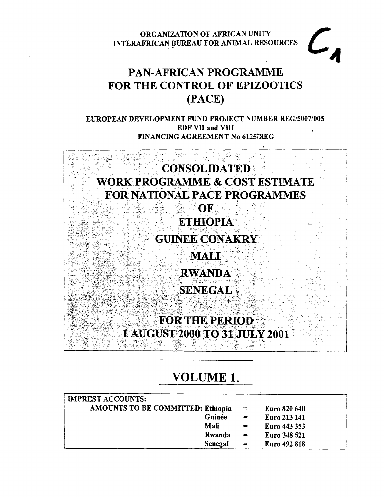**ORGANIZATION OF AFRICAN UNITY INTERAFRICAN BUREAU FOR ANIMAL RESOURCES** 

# **PAN-AFRICAN PROGRAMME FOR THE CONTROL OF EPIZOOTICS (PACE)**

**EUROPEAN DEVELOPMENT FUND PROJECT NUMBER REG/5007/005 EDF VII and VIII FINANCING AGREEMENT No 61257REG** 



# **VOLUME 1.**

| <b>IMPREST ACCOUNTS:</b>          |     |              |
|-----------------------------------|-----|--------------|
| AMOUNTS TO BE COMMITTED: Ethiopia | $=$ | Euro 820 640 |
| Guinée                            | $=$ | Euro 213 141 |
| Mali                              | $=$ | Euro 443 353 |
| Rwanda                            | $=$ | Euro 348 521 |
| Senegal                           | $=$ | Euro 492 818 |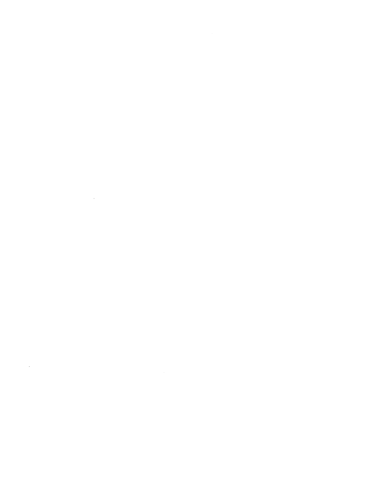$\label{eq:2.1} \frac{1}{\sqrt{2}}\left(\frac{1}{\sqrt{2}}\right)^{2} \left(\frac{1}{\sqrt{2}}\right)^{2} \left(\frac{1}{\sqrt{2}}\right)^{2} \left(\frac{1}{\sqrt{2}}\right)^{2} \left(\frac{1}{\sqrt{2}}\right)^{2} \left(\frac{1}{\sqrt{2}}\right)^{2} \left(\frac{1}{\sqrt{2}}\right)^{2} \left(\frac{1}{\sqrt{2}}\right)^{2} \left(\frac{1}{\sqrt{2}}\right)^{2} \left(\frac{1}{\sqrt{2}}\right)^{2} \left(\frac{1}{\sqrt{2}}\right)^{2} \left(\$  $\label{eq:2.1} \frac{1}{\sqrt{2}}\int_{\mathbb{R}^3} \frac{d\mu}{\mu} \left( \frac{d\mu}{\mu} \right)^2 \frac{d\mu}{\mu} \left( \frac{d\mu}{\mu} \right)^2 \frac{d\mu}{\mu} \left( \frac{d\mu}{\mu} \right)^2 \frac{d\mu}{\mu} \left( \frac{d\mu}{\mu} \right)^2 \frac{d\mu}{\mu} \left( \frac{d\mu}{\mu} \right)^2 \frac{d\mu}{\mu} \left( \frac{d\mu}{\mu} \right)^2 \frac{d\mu}{\mu} \left( \frac{d\mu}{\mu} \right)^2$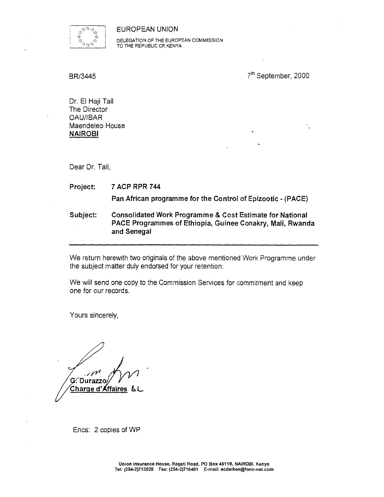#### EUROPEAN UNION



DELEGATION OF THE EUROPEAN COMMISSION TO THE REPUBLIC OF, KENYA

| BR/3445          | 7 <sup>th</sup> September, 2000 |
|------------------|---------------------------------|
| Dr. El Haji Tall |                                 |
| The Director     |                                 |

Dr. El H The Dire **OAU/IBAR** Maendeleo House **NAIROBI** 

Dear Dr. Tall,

**Project: 7 ACP RPR 744** 

**Pan African programme for the Control of Epizootic - (PACE)** 

**Subject: Consolidated Work Programme & Cost Estimate for National PACE Programmes of Ethiopia, Guinee Conakry, Mali, Rwanda and Senegal** 

We return herewith two originals of the above mentioned Work Programme under the subject matter duly endorsed for your retention.

We will send one copy to the Commission Services for commitment and keep one for our records.

Yours sincerely,

Durazzo/ **Charge d'Affaires** 

Encs: 2 copies of WP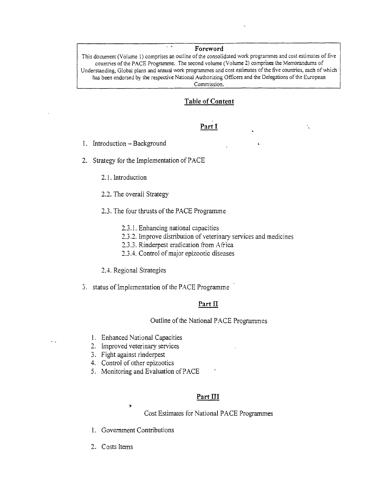#### **Foreword**

This document (Volume 1) comprises an outline of the consolidated work programmes and cost estimates of five countries of the PACE Programme. The second volume (Volume 2) comprises the Memorandums of Understanding, Global plans and annual work programmes and cost estimates of the five countries, each of which has been endorsed by the respective National Authorizing Officers and the Delegations of the European Commission.

#### **Table of Content**

#### **Part I**

•

۰.

- 1. Introduction Background
- 2. Strategy for the Implementation of PACE
	- 2.1. Introduction
	- 2.2. The overall Strategy
	- 2.3. The four thrusts of the PACE Programme
		- 2.3.1. Enhancing national capacities
		- 2.3.2. Improve distribution of veterinary services and medicines
		- 2.3.3. Rinderpest eradication from Africa
		- 2.3.4. Control of major epizootic diseases

#### 2.4. Regional Strategies

3. status of Implementation of the PACE Programme

### **Part II**

#### Outline of the National PACE Programmes

- 1. Enhanced National Capacities
- 2. Improved veterinary services
- 3. Fight against rinderpest
- 4. Control of other epizootics
- 5. Monitoring and Evaluation of PACE

#### **Part III**

Cost Estimates for National PACE Programmes

- 1. Government Contributions
- 2. Costs Items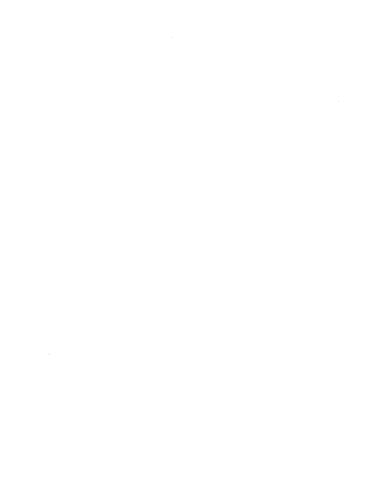$\label{eq:2.1} \frac{1}{\sqrt{2}}\left(\frac{1}{\sqrt{2}}\right)^{2} \left(\frac{1}{\sqrt{2}}\right)^{2} \left(\frac{1}{\sqrt{2}}\right)^{2} \left(\frac{1}{\sqrt{2}}\right)^{2} \left(\frac{1}{\sqrt{2}}\right)^{2} \left(\frac{1}{\sqrt{2}}\right)^{2} \left(\frac{1}{\sqrt{2}}\right)^{2} \left(\frac{1}{\sqrt{2}}\right)^{2} \left(\frac{1}{\sqrt{2}}\right)^{2} \left(\frac{1}{\sqrt{2}}\right)^{2} \left(\frac{1}{\sqrt{2}}\right)^{2} \left(\$ 

 $\label{eq:2.1} \frac{1}{\sqrt{2}}\int_{\mathbb{R}^3}\frac{1}{\sqrt{2}}\left(\frac{1}{\sqrt{2}}\right)^2\frac{1}{\sqrt{2}}\left(\frac{1}{\sqrt{2}}\right)^2\frac{1}{\sqrt{2}}\left(\frac{1}{\sqrt{2}}\right)^2\frac{1}{\sqrt{2}}\left(\frac{1}{\sqrt{2}}\right)^2.$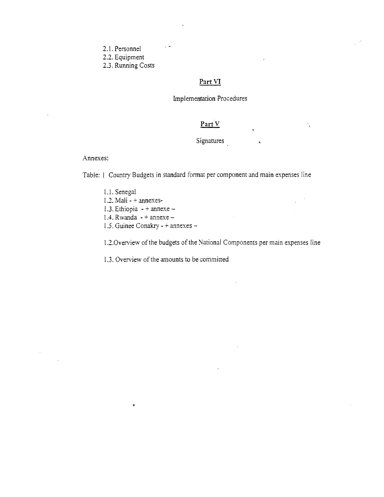2.1. Personnel

2.2. Equipment

2.3. Running Costs

## Part VI

## Implementation Procedures

## Part V

## Signatures

 $\bar{\bf k}$ 

#### Annexes:

Table: I Country Budgets in standard format per component and main expenses line

- 1.1. Senegal
- 1.2. Mali  $-$  + annexes-
- 1.3. Ethiopia  $-$  + annexe –
- 1.4. Rwanda  $-$  + annexe -

٠

1.5. Guinee Conakry - + annexes —

1.2.0verview of the budgets of the National Components per main expenses line

1.3. Overview of the amounts to be committed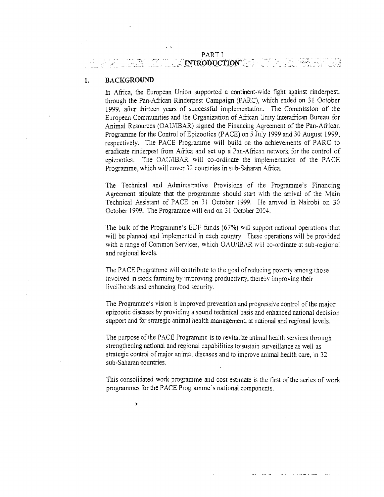## INTRODUCTION

#### 1. BACKGROUND

 $\ddot{\phantom{1}}$ 

In Africa, the European Union supported a continent-wide fight against rinderpest, through the Pan-African Rinderpest Campaign (PARC), which ended on 31 October 1999, after thirteen years of successful implementation. The Commission of the European Communities and the Organization of African Unity Interafrican Bureau for Animal Resources (OAU/IBAR) signed the Financing Agreement of the Pan-African Programme for the Control of Epizootics (PACE) on 5 July 1999 and 30 August 1999, respectively. The PACE Programme will build on tha achievements of PARC to eradicate rinderpest from Africa and set up a Pan-African network for the control of epizootics. The OAU/IBAR will co-ordinate the implementation of the PACE Programme, which will cover 32 countries in sub-Saharan Africa.

The Technical and Administrative Provisions of the Programme's Financing Agreement stipulate that the programme should start with the arrival of the Main Technical Assistant of PACE on 31 October 1999. He arrived in Nairobi on 30 October 1999. The Programme will end on 31 October 2004.

The bulk of the Programme's EDF funds (67%) will support national operations that will be planned and implemented in each country. These operations will be provided with a range of Common Services, which OAU/IBAR will co-ordinate at sub-regional and regional levels.

The PACE Programme will contribute to the goal of reducing poverty among those involved in stock farming by improving productivity, thereby improving their livelihoods and enhancing food security.

The Programme's vision is improved prevention and progressive control of the major epizootic diseases by providing a sound technical basis and enhanced national decision support and for strategic animal health management, at national and regional levels.

The purpose of the PACE Programme is to revitalize animal health services through strengthening national and regional capabilities to-sustain surveillance as well as strategic control of major animal diseases and to improve animal health care, in 32 sub-Saharan countries.

This consolidated work programme and cost estimate is the first of the series of work programmes for the PACE Programme's national components.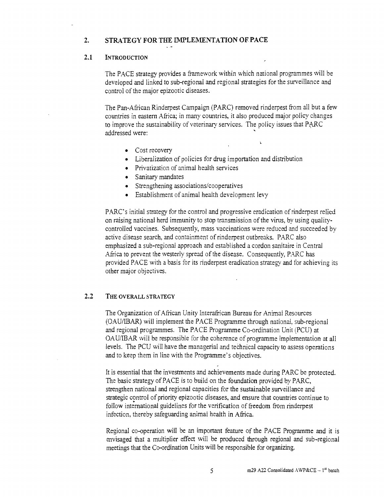## 2. STRATEGY FOR THE IMPLEMENTATION OF PACE

#### 2.1 INTRODUCTION

The PACE strategy provides a framework within which national programmes will be developed and linked to sub-regional and regional strategies for the surveillance and control of the major epizootic diseases.

The Pan-African Rinderpest Campaign (PARC) removed rinderpest from all but a few countries in eastern Africa; in many countries, it also produced major policy changes to improve the sustainability of veterinary services. The policy issues that PARC addressed were:

- Cost recovery
- Liberalization of policies for drug importation and distribution
- Privatization of animal health services
- Sanitary mandates
- Strengthening associations/cooperatives
- Establishment of animal health development levy

PARC's initial strategy for the control and progressive eradication of rinderpest relied on raising national herd immunity to stop transmission of the virus, by using qualitycontrolled vaccines. Subsequently, mass vaccinations were reduced and succeeded by active disease search, and containment of rinderpest outbreaks. PARC also emphasized a sub-regional approach and established a cordon sanitaire in Central Africa to prevent the westerly spread of the disease. Consequently, PARC has provided PACE with a basis for its rinderpest eradication strategy and for achieving its other major objectives.

#### 2.2 THE OVERALL STRATEGY

The Organization of African Unity Interafrican Bureau for Animal Resources (OAU/IBAR) will implement the PACE Programme through national, sub-regional and regional programmes. The PACE Programme Co-ordination Unit (PCU) at OAU/IBAR will be responsible for the coherence of programme implementation at all levels. The PCU will have the managerial and technical capacity to assess operations and to keep them in line with the Programme's objectives.

It is essential that the investments and achievements made during PARC be protected. The basic strategy of PACE is to build on the foundation provided by PARC, strengthen national and regional capacities for the sustainable surveillance and strategic control of priority epizootic diseases, and ensure that countries continue to follow international guidelines for the verification of freedom from rinderpest infection, thereby safeguarding animal health in Africa.

Regional co-operation will be an important feature of the PACE Programme and it is envisaged that a multiplier effect will be produced through regional and sub-regional meetings that the Co-ordination Units will be responsible for organizing.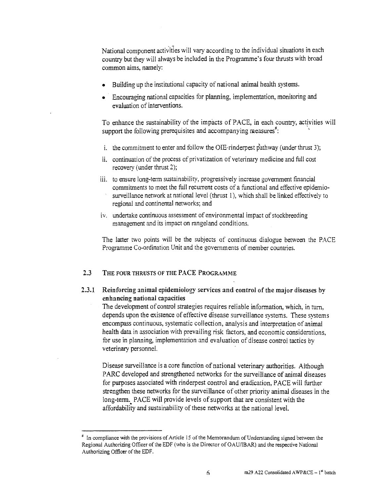National component activities will vary according to the individual situations in each country but they will always be included in the Programme's four thrusts with broad common aims, namely:

- Building up the institutional capacity of national animal health systems.
- Encouraging national capacities for planning, implementation, monitoring and evaluation of interventions.

To enhance the sustainability of the impacts of PACE, in each country, activities will support the following prerequisites and accompanying measures<sup> $\ddot{\theta}$ </sup>:

- i. the commitment to enter and follow the OIE $\cdot$ rinderpest pathway (under thrust 3);
- ii. continuation of the process of privatization of veterinary medicine and full cost recovery (under thrust 2);
- iii. to ensure long-term sustainability, progressively increase government financial commitments to meet the full recurrent costs of a functional and effective epidemiosurveillance network at national level (thrust 1), which shall be linked effectively to regional and continental networks; and
- iv. undertake continuous assessment of environmental impact of stockbreeding management and its impact on rangeland conditions.

The latter two points will be the subjects of continuous dialogue between the PACE Programme Co-ordination Unit and the governments of member countries.

#### 2.3 THE FOUR THRUSTS OF THE PACE PROGRAMME

2.3.1 Reinforcing animal epidemiology services and control of the major diseases by enhancing national capacities

The development of control strategies requires reliable information, which, in turn. depends upon the existence of effective disease surveillance systems. These systems encompass continuous, systematic collection, analysis and interpretation of animal health data in association with prevailing risk factors, and economic considerations, for use in planning, implementation and evaluation of disease control tactics by veterinary personnel.

Disease surveillance is a core function of national veterinary authorities. Although PARC developed and strengthened networks for the surveillance of animal diseases for purposes associated with rinderpest control and eradication, PACE will further strengthen these networks for the surveillance of other priority animal diseases in the long-term. PACE will provide levels of support that are consistent with the affordability and sustainability of these networks at the national level.

 $\mu$  In compliance with the provisions of Article 15 of the Memorandum of Understanding signed between the Regional Authorizing Officer of the EDF (who is the Director of OAU/IBAR) and the respective National Authorizing Officer of the EDF.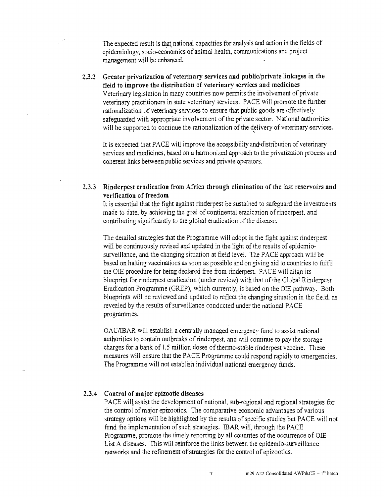The expected result is that national capacities for analysis and action in the fields of epidemiology, socio-economics of animal health, communications and project management will be enhanced.

**2.3.2 Greater privatization of veterinary services and public/private linkages in the field to improve the distribution of veterinary services and medicines**  Veterinary legislation in many countries now permits the involvement of private veterinary practitioners in state veterinary services. PACE will promote the further rationalization of veterinary services to ensure that public goods are effectively safeguarded with appropriate involvement of the private sector. National authorities will be supported to continue the rationalization of the delivery of veterinary services.

It is expected that PACE will improve the accessibility and distribution of veterinary services and medicines, based on a harmonized approach to the privatization process and coherent links between public services and private operators.

**2.3.3 Rinderpest eradication from Africa through elimination of the last reservoirs and verification of freedom** 

It is essential that the fight against rinderpest be sustained to safeguard the investments made to date, by achieving the goal of continental eradication of rinderpest, and contributing significantly to the global eradication of the disease.

The detailed strategies that the Programme will adopt in the fight against rinderpest will be continuously revised and updated in the light of the results of epidemiosurveillance, and the changing situation at field level. The PACE approach will be based on halting vaccinations as soon as possible and on giving aid to countries to fulfil the OLE procedure for being declared free from rinderpest. PACE will align its blueprint for rinderpest eradication (under review) with that of the Global Rinderpest Eradication Programme (GREP), which currently, is based on the OIE pathway. Both blueprints will be reviewed and updated to reflect the changing situation in the field, as revealed by the results of surveillance conducted under the national PACE programmes.

OAU/IBAR will establish a centrally managed emergency fund to assist national authorities to contain outbreaks of rinderpest, and will continue to pay the storage charges for a bank of 1.5 million doses of thermo-stable rinderpest vaccine. These measures will ensure that the PACE Programme could respond rapidly to emergencies. The Programme will not establish individual national emergency funds.

#### **2.3.4 Control of major epizootic diseases**

PACE wilt assist the development of national, sub-regional and regional strategies for the control of major epizootics. The comparative economic advantages of various strategy options will be highlighted by the results of specific studies but PACE will not fund the implementation of such strategies. IBAR will, through the PACE Programme, promote the timely reporting by all countries of the occurrence of OIE List A diseases. This will reinforce the links between the epidemio-surveillance networks and the refinement of strategies for the control of epizootics.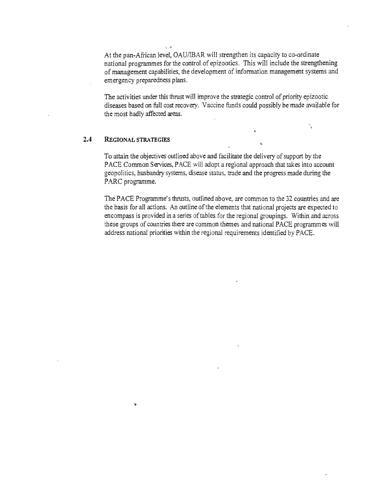At the pan-African level, OAU/IBAR will strengthen its capacity to co-ordinate national programmes for the control of epizootics. This will include the strengthening of management capabilities, the development of information management systems and emergency preparedness plans.

. -

The activities under this thrust will improve the strategic control of priority epizootic diseases based on full cost recovery. Vaccine funds could possibly be made available for the most badly affected areas.

N

## 2.4 REGIONAL STRATEGIES

 $\overline{\phantom{a}}$ 

To attain the objectives outlined above and facilitate the delivery of support by the PACE Common Services, PACE will adopt a regional approach that takes into account geopolitics, husbandry systems, disease status, trade and the progress made during the PARC programme.

The PACE Programme's thrusts, outlined above, are common to the 32 countries and are the basis for all actions. An outline of the elements that national projects are expected to encompass is provided in a series of tables for the regional groupings. Within and across these groups of countries there are common themes and national PACE programmes will address national priorities within the regional requirements identified by PACE.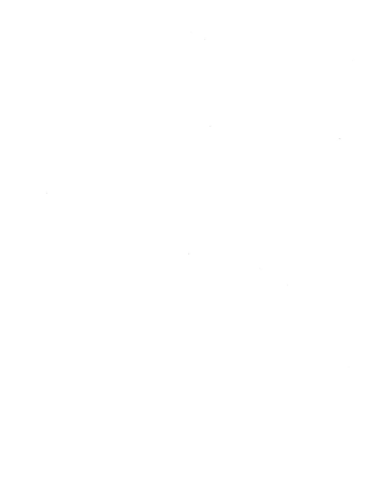$\mathcal{L}^{\text{max}}_{\text{max}}$  $\label{eq:2.1} \frac{1}{\sqrt{2}}\sum_{i=1}^n\frac{1}{\sqrt{2}}\sum_{i=1}^n\frac{1}{\sqrt{2}}\sum_{i=1}^n\frac{1}{\sqrt{2}}\sum_{i=1}^n\frac{1}{\sqrt{2}}\sum_{i=1}^n\frac{1}{\sqrt{2}}\sum_{i=1}^n\frac{1}{\sqrt{2}}\sum_{i=1}^n\frac{1}{\sqrt{2}}\sum_{i=1}^n\frac{1}{\sqrt{2}}\sum_{i=1}^n\frac{1}{\sqrt{2}}\sum_{i=1}^n\frac{1}{\sqrt{2}}\sum_{i=1}^n\frac$  $\label{eq:2.1} \frac{1}{\sqrt{2}}\left(\frac{1}{\sqrt{2}}\right)^{2} \left(\frac{1}{\sqrt{2}}\right)^{2} \left(\frac{1}{\sqrt{2}}\right)^{2} \left(\frac{1}{\sqrt{2}}\right)^{2} \left(\frac{1}{\sqrt{2}}\right)^{2} \left(\frac{1}{\sqrt{2}}\right)^{2} \left(\frac{1}{\sqrt{2}}\right)^{2} \left(\frac{1}{\sqrt{2}}\right)^{2} \left(\frac{1}{\sqrt{2}}\right)^{2} \left(\frac{1}{\sqrt{2}}\right)^{2} \left(\frac{1}{\sqrt{2}}\right)^{2} \left(\$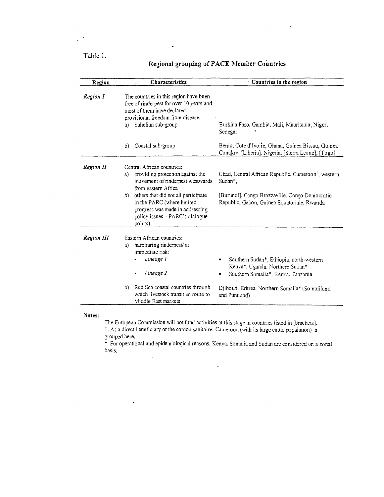## Table 1.

 $\mathbb{R}^{2\times 3}$ 

## Regional grouping of PACE Member Countries

 $\ddot{\phantom{1}}$ 

| Region            | Characteristics                                                                                                                                                                                                                                                                             | Countries in the region                                                                                                                                                                |
|-------------------|---------------------------------------------------------------------------------------------------------------------------------------------------------------------------------------------------------------------------------------------------------------------------------------------|----------------------------------------------------------------------------------------------------------------------------------------------------------------------------------------|
| <b>Region I</b>   | The countries in this region have been<br>free of rinderpest for over 10 years and<br>most of them have declared<br>provisional freedom from disease.<br>Sahelian sub-group<br>a)                                                                                                           | Burkina Faso, Gambia, Mali, Mauritania, Niger,<br>Senegal                                                                                                                              |
|                   | Coastal sub-group<br>b)                                                                                                                                                                                                                                                                     | Benin, Cote d'Ivoire, Ghana, Guinea Bissau. Guinea<br>Conakry. [Liberia], Nigeria. [Sierra Leone], [Togo]                                                                              |
| Region II         | Central African countries:<br>providing protection against the<br>a)<br>movement of rinderpest westwards<br>from eastern Africa<br>others that did not all participate<br>b)<br>in the PARC (where limited<br>progress was made in addressing<br>policy issues - PARC's dialogue<br>points) | Chad, Central African Republic, Cameroon <sup>1</sup> , western<br>Sudan*.<br>[Burundi], Congo Brazzaville, Congo Democratic<br>Republic, Gabon, Guinea Equatoriale, Rwanda            |
| <b>Region III</b> | Eastern African countries:<br>harbouring rinderpest/ at<br>a)<br>immediate risk:<br>Lineage I<br>Lineage 2<br>Red Sea coastal countries through<br>b)<br>which livestock transit en route to<br>Middle East markets                                                                         | Southern Sudan*, Ethiopia, north-western<br>Kenya*, Uganda, Northern Sudan*<br>Southern Somalia*, Kenva. Tanzania<br>Djibouti, Eritrea, Northern Somalia* (Somaliland<br>and Puntland) |

Notes:

 $\sim$ 

The European Commission will not fund activities at this stage in countries listed in [brackets]. 1. As a direct beneficiary of the cordon sanitaire, Cameroon (with its large cattle population) is grouped here.

 $\bar{z}$ 

 $\bullet$ 

\* For operational and epidemiological reasons, Kenya, Somalia and Sudan are considered on a zonal basis.

 $\overline{a}$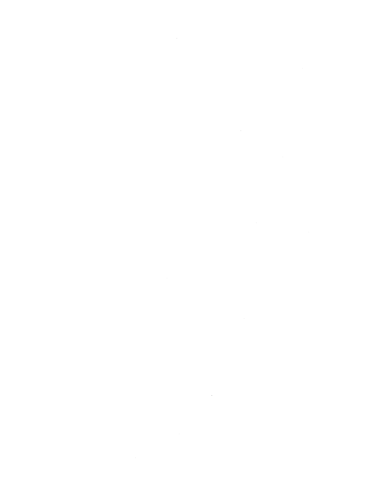$\label{eq:2.1} \frac{1}{\sqrt{2}}\int_{\mathbb{R}^3}\frac{1}{\sqrt{2}}\left(\frac{1}{\sqrt{2}}\right)^2\frac{1}{\sqrt{2}}\left(\frac{1}{\sqrt{2}}\right)^2\frac{1}{\sqrt{2}}\left(\frac{1}{\sqrt{2}}\right)^2\frac{1}{\sqrt{2}}\left(\frac{1}{\sqrt{2}}\right)^2.$ 

 $\label{eq:2.1} \frac{1}{\sqrt{2}}\int_{\mathbb{R}^3}\frac{1}{\sqrt{2}}\left(\frac{1}{\sqrt{2}}\right)^2\frac{1}{\sqrt{2}}\left(\frac{1}{\sqrt{2}}\right)^2\frac{1}{\sqrt{2}}\left(\frac{1}{\sqrt{2}}\right)^2\frac{1}{\sqrt{2}}\left(\frac{1}{\sqrt{2}}\right)^2.$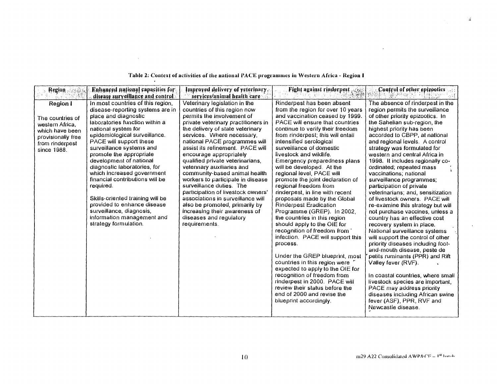| Region                                                                                                         | <b>Enhanced national capacities for</b>                                                                                                                                                                                                                                                                                                                                                                                                                                                                                             | Improyed delivery of yeterinary.                                                                                                                                                                                                                                                                                                                                                                                                                                                                                                                                                                                                  | Fight against rinderpest                                                                                                                                                                                                                                                                                                                                                                                                                                                                                                                                                                                                                                                                                                                                                                                                                                                                                                                                                      | Control of other epizootics                                                                                                                                                                                                                                                                                                                                                                                                                                                                                                                                                                                                                                                                                                                                                                                                                                                                                                                                                                                   |
|----------------------------------------------------------------------------------------------------------------|-------------------------------------------------------------------------------------------------------------------------------------------------------------------------------------------------------------------------------------------------------------------------------------------------------------------------------------------------------------------------------------------------------------------------------------------------------------------------------------------------------------------------------------|-----------------------------------------------------------------------------------------------------------------------------------------------------------------------------------------------------------------------------------------------------------------------------------------------------------------------------------------------------------------------------------------------------------------------------------------------------------------------------------------------------------------------------------------------------------------------------------------------------------------------------------|-------------------------------------------------------------------------------------------------------------------------------------------------------------------------------------------------------------------------------------------------------------------------------------------------------------------------------------------------------------------------------------------------------------------------------------------------------------------------------------------------------------------------------------------------------------------------------------------------------------------------------------------------------------------------------------------------------------------------------------------------------------------------------------------------------------------------------------------------------------------------------------------------------------------------------------------------------------------------------|---------------------------------------------------------------------------------------------------------------------------------------------------------------------------------------------------------------------------------------------------------------------------------------------------------------------------------------------------------------------------------------------------------------------------------------------------------------------------------------------------------------------------------------------------------------------------------------------------------------------------------------------------------------------------------------------------------------------------------------------------------------------------------------------------------------------------------------------------------------------------------------------------------------------------------------------------------------------------------------------------------------|
|                                                                                                                | disease surveillance and control                                                                                                                                                                                                                                                                                                                                                                                                                                                                                                    | services/animal health care                                                                                                                                                                                                                                                                                                                                                                                                                                                                                                                                                                                                       |                                                                                                                                                                                                                                                                                                                                                                                                                                                                                                                                                                                                                                                                                                                                                                                                                                                                                                                                                                               |                                                                                                                                                                                                                                                                                                                                                                                                                                                                                                                                                                                                                                                                                                                                                                                                                                                                                                                                                                                                               |
| <b>Region I</b>                                                                                                | In most countries of this region,                                                                                                                                                                                                                                                                                                                                                                                                                                                                                                   | Veterinary legislation in the                                                                                                                                                                                                                                                                                                                                                                                                                                                                                                                                                                                                     | Rinderpest has been absent                                                                                                                                                                                                                                                                                                                                                                                                                                                                                                                                                                                                                                                                                                                                                                                                                                                                                                                                                    | The absence of rinderpest in the                                                                                                                                                                                                                                                                                                                                                                                                                                                                                                                                                                                                                                                                                                                                                                                                                                                                                                                                                                              |
| The countries of<br>western Africa,<br>which have been<br>provisionally free<br>from rinderpest<br>since 1988. | disease-reporting systems are in<br>place and diagnostic<br>laboratories function within a<br>national system for<br>epidemiological surveillance.<br>PACE will support these<br>surveillance systems and<br>promote the appropriate<br>development of national<br>diagnostic laboratories, for<br>which increased government<br>financial contributions will be<br>required.<br>Skills-oriented training will be<br>provided to enhance disease<br>surveillance, diagnosis,<br>information management and<br>strategy formulation. | countries of this region now<br>permits the involvement of<br>private veterinary practitioners in<br>the delivery of state veterinary<br>services. Where necessary,<br>national PACE programmes will<br>assist its refinement. PACE will<br>encourage appropriately<br>qualified private veterinarians.<br>veterinary auxiliaries and<br>community-based animal health<br>workers to participate in disease<br>surveillance duties. The<br>participation of livestock owners'<br>associations in surveillance will<br>also be promoted, primarily by<br>increasing their awareness of<br>diseases and regulatory<br>requirements. | from the region for over 10 years<br>and vaccination ceased by 1999.<br><b>PACE will ensure that countries</b><br>continue to verify their freedom<br>from rinderpest; this will entail<br>intensified serological<br>surveillance of domestic<br>livestock and wildlife.<br>Emergency preparedness plans<br>will be developed. At the<br>regional level, PACE will<br>promote the joint declaration of<br>regional freedom from<br>rinderpest, in line with recent<br>proposals made by the Global<br>Rinderpest Eradication<br>Programme (GREP). In 2002,<br>the countries in this region<br>should apply to the OIE for<br>recognition of freedom from<br>infection. PACE will support this<br>process.<br>Under the GREP blueprint, most<br>countries in this region were "<br>expected to apply to the OIE for<br>recognition of freedom from<br>rinderpest in 2000. PACE will<br>review their status before the<br>end of 2000 and revise the<br>blueprint accordingly. | region permits the surveillance<br>of other priority epizootics. In<br>the Sahelian sub-region, the<br>highest priority has been<br>accorded to CBPP, at national<br>and regional levels. A control<br>strategy was formulated for<br>western and central Africa in<br>1998. It includes regionally co-<br>ordinated; repeated mass<br>vaccinations, national<br>surveillance programmes;<br>participation of private<br>veterinarians; and, sensitization<br>of livestock owners. PACE will<br>re-examine this strategy but will<br>not purchase vaccines, unless a<br>country has an effective cost<br>recovery system in place.<br>National surveillance systems<br>will support the control of other<br>priority diseases including foot-<br>and-mouth disease, peste de<br>petits ruminants (PPR) and Rift<br>Valley fever (RVF).<br>In coastal countries, where small<br>livestock species are important,<br>PACE may address priority<br>diseases including African swine<br>fever (ASF), PPR, RVF and |
|                                                                                                                |                                                                                                                                                                                                                                                                                                                                                                                                                                                                                                                                     |                                                                                                                                                                                                                                                                                                                                                                                                                                                                                                                                                                                                                                   |                                                                                                                                                                                                                                                                                                                                                                                                                                                                                                                                                                                                                                                                                                                                                                                                                                                                                                                                                                               | Newcastle disease.                                                                                                                                                                                                                                                                                                                                                                                                                                                                                                                                                                                                                                                                                                                                                                                                                                                                                                                                                                                            |

## Table 2: Context of activities of the national PACE programmes in Western Africa - Region I

 $\mathcal{L}^{\text{max}}_{\text{max}}$  with  $\mathcal{L}^{\text{max}}_{\text{max}}$ 

 $\sim$ 

 $\mathbb{R}^{\mathbb{C}}$ 

 $\mathbf{r}$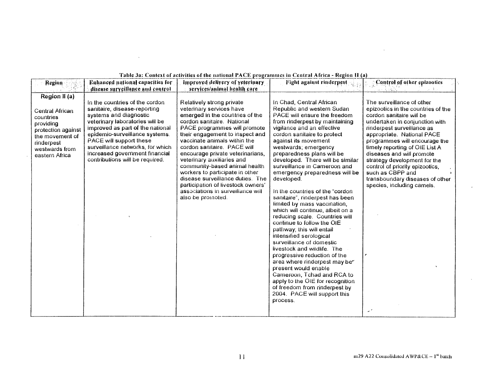| Table 3a: Context of activities of the national PACE programmes in Central Africa - Region II (a)                                                            |                                                                                                                                                                                                                                                                                                                                       |                                                                                                                                                                                                                                                                                                                                                                                                                                                                                                                                    |                                                                                                                                                                                                                                                                                                                                                                                                                                                                                                                                                                                                                                                                                                                                                                                                                                                                                                                                                              |                                                                                                                                                                                                                                                                                                                                                                                                                                                             |  |  |  |
|--------------------------------------------------------------------------------------------------------------------------------------------------------------|---------------------------------------------------------------------------------------------------------------------------------------------------------------------------------------------------------------------------------------------------------------------------------------------------------------------------------------|------------------------------------------------------------------------------------------------------------------------------------------------------------------------------------------------------------------------------------------------------------------------------------------------------------------------------------------------------------------------------------------------------------------------------------------------------------------------------------------------------------------------------------|--------------------------------------------------------------------------------------------------------------------------------------------------------------------------------------------------------------------------------------------------------------------------------------------------------------------------------------------------------------------------------------------------------------------------------------------------------------------------------------------------------------------------------------------------------------------------------------------------------------------------------------------------------------------------------------------------------------------------------------------------------------------------------------------------------------------------------------------------------------------------------------------------------------------------------------------------------------|-------------------------------------------------------------------------------------------------------------------------------------------------------------------------------------------------------------------------------------------------------------------------------------------------------------------------------------------------------------------------------------------------------------------------------------------------------------|--|--|--|
| Region                                                                                                                                                       | Enhanced national capacities for                                                                                                                                                                                                                                                                                                      | Improved delivery of veterinary                                                                                                                                                                                                                                                                                                                                                                                                                                                                                                    | Fight against rindernest                                                                                                                                                                                                                                                                                                                                                                                                                                                                                                                                                                                                                                                                                                                                                                                                                                                                                                                                     | Control of other epizootics                                                                                                                                                                                                                                                                                                                                                                                                                                 |  |  |  |
|                                                                                                                                                              | disease surveillance and control                                                                                                                                                                                                                                                                                                      | services/animal health care                                                                                                                                                                                                                                                                                                                                                                                                                                                                                                        |                                                                                                                                                                                                                                                                                                                                                                                                                                                                                                                                                                                                                                                                                                                                                                                                                                                                                                                                                              | 异元 医病毒症                                                                                                                                                                                                                                                                                                                                                                                                                                                     |  |  |  |
| Region II (a)<br><b>Central African</b><br>countries<br>providing<br>protection against<br>the movement of<br>rinderpest<br>westwards from<br>eastern Africa | In the countries of the cordon<br>sanitaire, disease-reporting<br>systems and diagnostic<br>veterinary laboratories will be<br>improved as part of the national<br>epidemio-surveillance systems.<br>PACE will support these<br>surveillance networks, for which<br>increased government financial<br>contributions will be required. | Relatively strong private<br>veterinary services have<br>emerged in the countries of the<br>cordon sanitaire. National<br>PACE programmes will promote<br>their engagement to inspect and<br>vaccinate animals within the<br>cordon sanitaire. PACE will<br>encourage private veterinarians,<br>veterinary auxiliaries and<br>community-based animal health<br>workers to participate in other<br>disease surveillance duties. The<br>participation of livestock owners'<br>associations in surveillance will<br>also be promoted. | In Chad, Central African<br>Republic and western Sudan<br>PACE will ensure the freedom<br>from rinderpest by maintaining<br>vigilance and an effective<br>cordon sanitaire to protect<br>against its movement<br>westwards; emergency<br>preparedness plans will be<br>developed. There will be similar<br>surveillance in Cameroon and<br>emergency preparedness will be<br>developed.<br>In the countries of the "cordon"<br>sanitaire", rinderpest has been<br>limited by mass vaccination,<br>which will continue, albeit on a<br>reducing scale. Countries will<br>continue to follow the OIE<br>pathway; this will entail<br>intensified serological<br>surveillance of domestic<br>livestock and wildlife. The<br>progressive reduction of the<br>area where rinderpest may be<br>present would enable<br>Cameroon, Tchad and RCA to<br>apply to the OIE for recognition<br>of freedom from rinderpest by<br>2004. PACE will support this<br>process. | The surveillance of other<br>epizootics in the countries of the<br>cordon sanitaire will be<br>undertaken in conjunction with<br>rinderpest surveillance as<br>appropriate. National PACE<br>programmes will encourage the<br>timely reporting of OIE List A<br>diseases and will promote<br>strategy development for the<br>control of priority epizootics.<br>such as CBPP and<br>transboundary diseases of other<br>species, including camels.<br>المسمد |  |  |  |

 $\sim$   $\alpha$ 

 $\sim$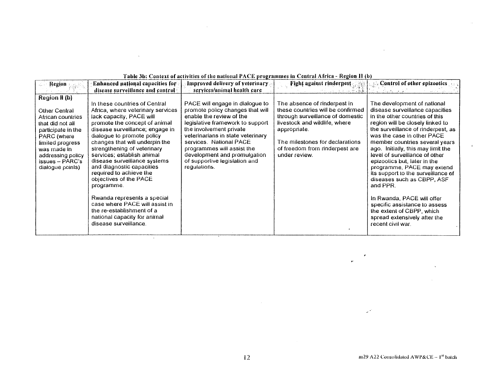| Table 3b: Context of activities of the national PACE programmes in Central Africa - Region II (b)                                                                                                           |                                                                                                                                                                                                                                                                                                                                                                                                                                                                                                                                                                                        |                                                                                                                                                                                                                                                                                                                                               |                                                                                                                                                                                                                                              |                                                                                                                                                                                                                                                                                                                                                                                                                                                                                                                                                                                                                   |  |  |  |  |
|-------------------------------------------------------------------------------------------------------------------------------------------------------------------------------------------------------------|----------------------------------------------------------------------------------------------------------------------------------------------------------------------------------------------------------------------------------------------------------------------------------------------------------------------------------------------------------------------------------------------------------------------------------------------------------------------------------------------------------------------------------------------------------------------------------------|-----------------------------------------------------------------------------------------------------------------------------------------------------------------------------------------------------------------------------------------------------------------------------------------------------------------------------------------------|----------------------------------------------------------------------------------------------------------------------------------------------------------------------------------------------------------------------------------------------|-------------------------------------------------------------------------------------------------------------------------------------------------------------------------------------------------------------------------------------------------------------------------------------------------------------------------------------------------------------------------------------------------------------------------------------------------------------------------------------------------------------------------------------------------------------------------------------------------------------------|--|--|--|--|
| <b>Region</b>                                                                                                                                                                                               | <b>Enhanced national capacities for:</b>                                                                                                                                                                                                                                                                                                                                                                                                                                                                                                                                               | Improved delivery of veterinary                                                                                                                                                                                                                                                                                                               | <b>Fight against rinderpest</b>                                                                                                                                                                                                              | $\sim$ 2.14. Control of other epizootics $\sim$                                                                                                                                                                                                                                                                                                                                                                                                                                                                                                                                                                   |  |  |  |  |
|                                                                                                                                                                                                             | disease surveillance and control!                                                                                                                                                                                                                                                                                                                                                                                                                                                                                                                                                      | services/animal health care                                                                                                                                                                                                                                                                                                                   |                                                                                                                                                                                                                                              |                                                                                                                                                                                                                                                                                                                                                                                                                                                                                                                                                                                                                   |  |  |  |  |
| Region II (b)<br>Other Central<br>African countries<br>that did not all<br>participate in the<br>PARC (where<br>limited progress<br>was made in<br>addressing policy<br>issues – PARC's<br>dialogue points) | In these countries of Central<br>Africa, where veterinary services<br>lack capacity, PACE will<br>promote the concept of animal<br>disease surveillance; engage in<br>dialogue to promote policy<br>changes that will underpin the<br>strengthening of veterinary<br>services: establish animal<br>disease surveillance systems<br>and diagnostic capacities<br>required to achieve the<br>objectives of the PACE<br>programme.<br>Rwanda represents a special<br>case where PACE will assist in<br>the re-establishment of a<br>national capacity for animal<br>disease surveillance. | PACE will engage in dialogue to<br>promote policy changes that will<br>enable the review of the<br>legislative framework to support<br>the involvement private<br>veterinarians in state veterinary<br>services. National PACE<br>programmes will assist the<br>development and promulgation<br>of supportive legislation and<br>regulations. | The absence of rinderpest in<br>these countries will be confirmed<br>through surveillance of domestic<br>livestock and wildlife, where<br>appropriate.<br>The milestones for declarations<br>of freedom from rinderpest are<br>under review. | The development of national<br>disease surveillance capacities<br>in the other countries of this<br>region will be closely linked to<br>the surveillance of rinderpest, as<br>was the case in other PACE<br>member countries several years<br>ago. Initially, this may limit the<br>level of surveillance of other<br>epizootics but, later in the<br>programme, PACE may extend<br>its support to the surveillance of<br>diseases such as CBPP, ASF<br>and PPR.<br>In Rwanda, PACE will offer<br>specific assistance to assess<br>the extent of CBPP, which<br>spread extensively after the<br>recent civil war. |  |  |  |  |
|                                                                                                                                                                                                             |                                                                                                                                                                                                                                                                                                                                                                                                                                                                                                                                                                                        |                                                                                                                                                                                                                                                                                                                                               |                                                                                                                                                                                                                                              |                                                                                                                                                                                                                                                                                                                                                                                                                                                                                                                                                                                                                   |  |  |  |  |

#### Table 3b: Context of activities of the national PACE programmes in Central Africa - Region II (b)

 $\sim$ 

 $\Delta$ 

 $\sim$ 

 $\lambda$ 

×

 $\mathcal{L}^{(2)}$ 

 $\overline{\mathbf{r}}^{\perp}$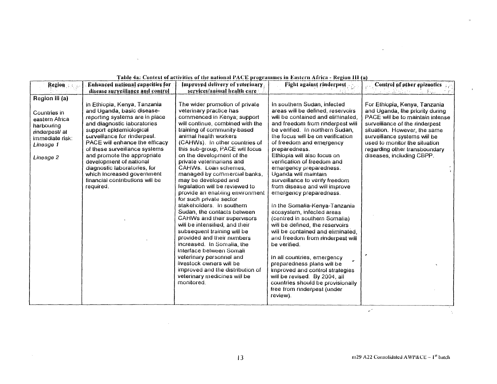|                                                                                                                               |                                                                                                                                                                                                                                                                                                                                                                                                                                                                       | Table 4a: Context of activities of the national PACE programmes in Eastern Africa - Region III (a)                                                                                                                                                                                                                                                                                                                                                                                                                                                                                                                                                                                                                                                                                                                                                                                                                                |                                                                                                                                                                                                                                                                                                                                                                                                                                                                                                                                                                                                                                                                                                                                                                                                                                                                                                                           |                                                                                                                                                                                                                                                                                                       |
|-------------------------------------------------------------------------------------------------------------------------------|-----------------------------------------------------------------------------------------------------------------------------------------------------------------------------------------------------------------------------------------------------------------------------------------------------------------------------------------------------------------------------------------------------------------------------------------------------------------------|-----------------------------------------------------------------------------------------------------------------------------------------------------------------------------------------------------------------------------------------------------------------------------------------------------------------------------------------------------------------------------------------------------------------------------------------------------------------------------------------------------------------------------------------------------------------------------------------------------------------------------------------------------------------------------------------------------------------------------------------------------------------------------------------------------------------------------------------------------------------------------------------------------------------------------------|---------------------------------------------------------------------------------------------------------------------------------------------------------------------------------------------------------------------------------------------------------------------------------------------------------------------------------------------------------------------------------------------------------------------------------------------------------------------------------------------------------------------------------------------------------------------------------------------------------------------------------------------------------------------------------------------------------------------------------------------------------------------------------------------------------------------------------------------------------------------------------------------------------------------------|-------------------------------------------------------------------------------------------------------------------------------------------------------------------------------------------------------------------------------------------------------------------------------------------------------|
| Region and                                                                                                                    | Enhanced national capacities for                                                                                                                                                                                                                                                                                                                                                                                                                                      | Improyed delivery of yeterinary                                                                                                                                                                                                                                                                                                                                                                                                                                                                                                                                                                                                                                                                                                                                                                                                                                                                                                   | Fight against rinderpest                                                                                                                                                                                                                                                                                                                                                                                                                                                                                                                                                                                                                                                                                                                                                                                                                                                                                                  | Control of other epizootics                                                                                                                                                                                                                                                                           |
|                                                                                                                               |                                                                                                                                                                                                                                                                                                                                                                                                                                                                       |                                                                                                                                                                                                                                                                                                                                                                                                                                                                                                                                                                                                                                                                                                                                                                                                                                                                                                                                   |                                                                                                                                                                                                                                                                                                                                                                                                                                                                                                                                                                                                                                                                                                                                                                                                                                                                                                                           |                                                                                                                                                                                                                                                                                                       |
| Region III (a)<br>Countries in<br>eastern Africa<br>harbouring<br>rinderpest/ at<br>immediate risk:<br>Lineage 1<br>Lineage 2 | disease surveillance and control<br>In Ethiopia, Kenya, Tanzania<br>and Uganda, basic disease-<br>reporting systems are in place<br>and diagnostic laboratories<br>support epidemiological<br>surveillance for rinderpest.<br>PACE will enhance the efficacy<br>of these surveillance systems<br>and promote the appropriate<br>development of national<br>diagnostic laboratories, for<br>which increased government<br>financial contributions will be<br>required. | services/animal health care<br>The wider promotion of private<br>veterinary practice has<br>commenced in Kenya; support<br>will continue, combined with the<br>training of community-based<br>animal health workers<br>(CAHWs). In other countries of<br>this sub-group, PACE will focus<br>on the development of the<br>private veterinarians and<br>CAHWs. Loan schemes,<br>managed by commercial banks,<br>may be developed and<br>legislation will be reviewed to<br>provide an enabling environment<br>for such private sector<br>stakeholders. In southern<br>Sudan, the contacts between<br>CAHWs and their supervisors<br>will be intensified, and their<br>subsequent training will be<br>provided and their numbers<br>increased. In Somalia, the<br>Interface between Somali<br>veterinary personnel and<br>livestock owners will be<br>improved and the distribution of<br>veterinary medicines will be<br>monitored. | In southern Sudan, infected<br>areas will be defined, reservoirs<br>will be contained and eliminated.<br>and freedom from rinderpest will<br>be verified. In northern Sudan,<br>the focus will be on verification<br>of freedom and emergency<br>preparedness.<br>Ethiopia will also focus on<br>verification of freedom and<br>emergency preparedness.<br>Uganda will maintain<br>surveillance to verify freedom<br>from disease and will improve<br>emergency preparedness.<br>In the Somalia-Kenya-Tanzania<br>ecosystem, infected areas<br>(centred in southern Somalia)<br>will be defined, the reservoirs<br>will be contained and eliminated.<br>and freedom from rinderpest will<br>be verified.<br>In all countries, emergency<br>preparedness plans will be<br>improved and control strategies<br>will be revised. By 2004, all<br>countries should be provisionally<br>free from rinderpest (under<br>review). | For Ethiopia, Kenya, Tanzania<br>and Uganda, the priority during<br>PACE will be to maintain intense<br>surveillance of the rinderpest<br>situation. However, the same<br>surveillance systems will be<br>used to monitor the situation<br>regarding other transboundary<br>diseases, including CBPP. |
|                                                                                                                               |                                                                                                                                                                                                                                                                                                                                                                                                                                                                       |                                                                                                                                                                                                                                                                                                                                                                                                                                                                                                                                                                                                                                                                                                                                                                                                                                                                                                                                   |                                                                                                                                                                                                                                                                                                                                                                                                                                                                                                                                                                                                                                                                                                                                                                                                                                                                                                                           |                                                                                                                                                                                                                                                                                                       |

#### Table 4a: Context of activities of the national PACE programmes in Eastern Africa - Region III (a)

 $\label{eq:2.1} \mathbf{y} = \mathbf{y} + \mathbf{y} + \mathbf{y} + \mathbf{y} + \mathbf{y} + \mathbf{y}$ 

 $\bar{\Sigma}$ 

 $\omega^{\lambda}$ 

 $\sim$ 

 $\mathbf{r}$ 

 $\mathcal{L}^{\text{max}}_{\text{max}}$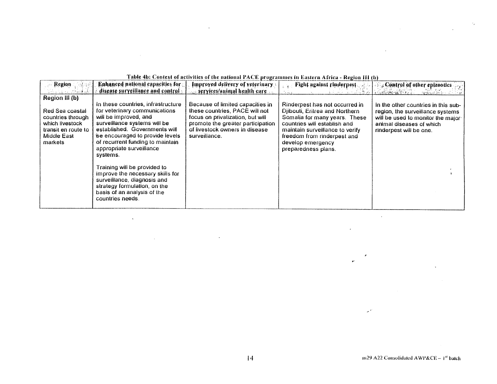| radio 40. Context or activities of the national race: programmes in eastern Africa - itegion 111 (i)]                      |                                                                                                                                                                                                                                                                                                                                                                                                                                                                    |                                                                                                                                                                                                |                                                                                                                                                                                                                                                 |                                                                                                                                                                     |  |  |  |
|----------------------------------------------------------------------------------------------------------------------------|--------------------------------------------------------------------------------------------------------------------------------------------------------------------------------------------------------------------------------------------------------------------------------------------------------------------------------------------------------------------------------------------------------------------------------------------------------------------|------------------------------------------------------------------------------------------------------------------------------------------------------------------------------------------------|-------------------------------------------------------------------------------------------------------------------------------------------------------------------------------------------------------------------------------------------------|---------------------------------------------------------------------------------------------------------------------------------------------------------------------|--|--|--|
| <b>Region</b>                                                                                                              | Enhanced national capacities for                                                                                                                                                                                                                                                                                                                                                                                                                                   | Improved delivery of veterinary                                                                                                                                                                | Fight against rinderpest                                                                                                                                                                                                                        | Control of other epizootics                                                                                                                                         |  |  |  |
| កំពុងក្រុង ជាចិត្តវិនិត្យស                                                                                                 | disease surveillance and control                                                                                                                                                                                                                                                                                                                                                                                                                                   | $\frac{1}{2}$ services/animal health care $\frac{1}{2}$ .                                                                                                                                      | 그 그의 사람들의 수많은                                                                                                                                                                                                                                   | NG KABUPATÈN PROPINSI J<br><b>Basker Black</b>                                                                                                                      |  |  |  |
| Region III (b)<br>Red Sea coastal<br>countries through<br>which livestock<br>transit en route to<br>Middle East<br>markets | In these countries, infrastructure<br>for veterinary communications<br>will be improved, and<br>surveillance systems will be<br>established. Governments will<br>be encouraged to provide levels<br>of recurrent funding to maintain<br>appropriate surveillance<br>systems.<br>Training will be provided to<br>improve the necessary skills for<br>surveillance, diagnosis and<br>strategy formulation, on the<br>basis of an analysis of the<br>countries needs. | Because of limited capacities in<br>these countries, PACE will not<br>focus on privatization, but will<br>promote the greater participation<br>of livestock owners in disease<br>surveillance. | Rinderpest has not occurred in<br>Djibouti, Eritrea and Northern<br>Somalia for many years. These<br>countries will establish and<br>maintain surveillance to verify<br>freedom from rinderpest and<br>develop emergency<br>preparedness plans. | In the other countries in this sub-<br>region, the surveillance systems<br>will be used to monitor the major<br>animal diseases of which<br>rinderpest will be one. |  |  |  |
|                                                                                                                            |                                                                                                                                                                                                                                                                                                                                                                                                                                                                    |                                                                                                                                                                                                |                                                                                                                                                                                                                                                 |                                                                                                                                                                     |  |  |  |

 $\mathcal{A}$ 

#### Table 4h: Context of activities of the national PACE programmes in Eastern Africa - Region III (b)

 $\sim 10^{-1}$ 

 $\sim 10^{-11}$ 

 $\sim$   $\alpha$ 

 $\mathcal{A}$ 

 $\tilde{\mathbf{x}}$ 

 $\sim$ 

 $\sim \nu_{\rm p}$ 

 $\sim$ 

 $\sim 100$ 

 $\sim 10$ 

 $\Box$ 

 $\overline{\mathbf{r}}$ 

 $\epsilon$ 

المولية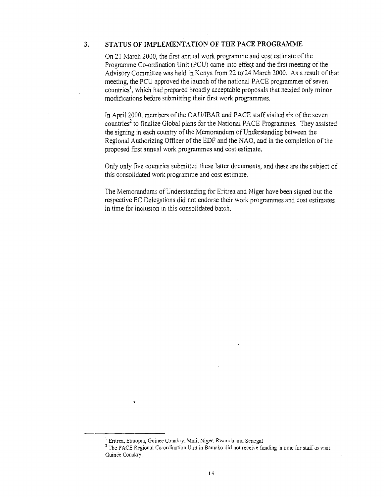## 3. STATUS OF IMPLEMENTATION OF THE PACE PROGRAMME

On 21 March 2000, the first annual work programme and cost estimate of the Programme Co-ordination Unit (PCU) came into effect and the first meeting of the Advisory Committee was held in Kenya from 22 to 24 March 2000. As a result of that meeting, the PCU approved the launch of the national PACE programmes of seven countries<sup>1</sup>, which had prepared broadly acceptable proposals that needed only minor modifications before submitting their first work programmes.

In April 2000, members of the OAU/IBAR and PACE staff visited six of the seven countries' to finalize Global plans for the National PACE Programmes. They assisted the signing in each country of the Memorandum of Understanding between the Regional Authorizing Officer of the EDF and the NAO, and in the completion of the proposed first annual work programmes and cost estimate.

Only only five countries submitted these latter documents, and these are the subject of this consolidated work programme and cost estimate.

The Memorandums of Understanding for Eritrea and Niger have been signed but the respective EC Delegations did not endorse their work programmes and cost estimates in time for inclusion in this consolidated batch.

<sup>&</sup>lt;sup>1</sup> Eritrea, Ethiopia, Guinee Conakry, Mali, Niger, Rwanda and Senegal

<sup>&</sup>lt;sup>2</sup> The PACE Regional Co-ordination Unit in Bamako did not receive funding in time for staff to visit Guinée Conakry.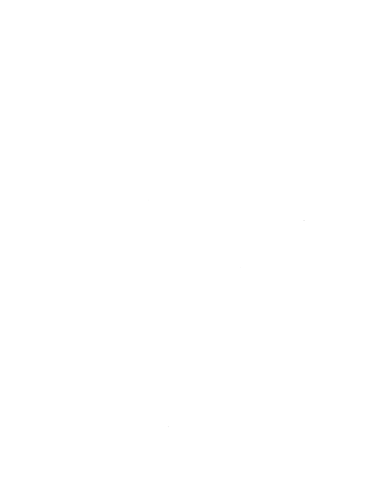$\label{eq:2.1} \frac{1}{\sqrt{2}}\int_{0}^{\infty}\frac{1}{\sqrt{2\pi}}\left(\frac{1}{\sqrt{2\pi}}\right)^{2\alpha} \frac{1}{\sqrt{2\pi}}\int_{0}^{\infty}\frac{1}{\sqrt{2\pi}}\left(\frac{1}{\sqrt{2\pi}}\right)^{\alpha} \frac{1}{\sqrt{2\pi}}\frac{1}{\sqrt{2\pi}}\int_{0}^{\infty}\frac{1}{\sqrt{2\pi}}\frac{1}{\sqrt{2\pi}}\frac{1}{\sqrt{2\pi}}\frac{1}{\sqrt{2\pi}}\frac{1}{\sqrt{2\pi}}\frac{1}{\sqrt{2\pi}}$  $\label{eq:2.1} \frac{1}{\sqrt{2\pi}}\int_{0}^{\infty} \frac{1}{\sqrt{2\pi}}\left(\frac{1}{\sqrt{2\pi}}\right)^{2\alpha} \frac{1}{\sqrt{2\pi}}\int_{0}^{\infty} \frac{1}{\sqrt{2\pi}}\left(\frac{1}{\sqrt{2\pi}}\right)^{\alpha} \frac{1}{\sqrt{2\pi}}\frac{1}{\sqrt{2\pi}}\int_{0}^{\infty} \frac{1}{\sqrt{2\pi}}\frac{1}{\sqrt{2\pi}}\frac{1}{\sqrt{2\pi}}\frac{1}{\sqrt{2\pi}}\frac{1}{\sqrt{2\pi}}\frac{1}{\sqrt$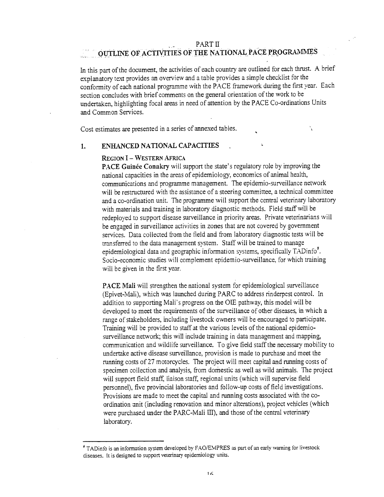#### PART II

## OUTLINE OF ACTIVITIES OF THE NATIONAL PACE PROGRAMMES

In this part of the document, the activities of each country are outlined for each thrust. A brief explanatory text provides an overview and a table provides a simple checklist for the conformity of each national programme with the PACE framework during the first year. Each section concludes with brief comments on the general orientation of the work to be undertaken, highlighting focal areas in need of attention by the PACE Co-ordinations Units and Common Services.

Cost estimates are presented in a series of annexed tables.

#### 1. ENHANCED NATIONAL CAPACITIES

#### REGION I — WESTERN AFRICA

PACE Guinée Conakry will support the state's regulatory role by improving the national capacities in the areas of epidemiology, economics of animal health, communications and programme management. The epidemio-surveillance network will be restructured with the assistance of a steering committee, a technical committee and a co-ordination unit. The programme will support the central veterinary laboratory with materials and training in laboratory diagnostic methods. Field staff will be redeployed to support disease surveillance in priority areas. Private veterinarians will be engaged in surveillance activities in zones that are not covered by government services. Data collected from the field and from laboratory diagnostic tests will be transferred to the data management system. Staff will be trained to manage epidemiological data and geographic information systems, specifically  $\text{TADinfo}^{\dagger}$ . Socio-economic studies will complement epidemio-surveillance, for which training will be given in the first year.

N

PACE Mali will strengthen the national system for epidemiological surveillance (Epivet-Mali), which was launched during PARC to address rinderpest control. In addition to supporting Mali's progress on the OIE pathway, this model will be developed to meet the requirements of the surveillance of other diseases, in which a range of stakeholders, including livestock owners will be encouraged to participate. Training will be provided to staff at the various levels of the national epidemiosurveillance network; this will include training in data management and mapping, communication and wildlife surveillance. To give field staff the necessary mobility to undertake active disease surveillance, provision is made to purchase and meet the running costs of 27 motorcycles. The project will meet capital and running costs of specimen collection and analysis, from domestic as well as wild animals. The project will support field staff, liaison staff, regional units (which will supervise field personnel), five provincial laboratories and follow-up costs of field investigations. Provisions are made to meet the capital and running costs associated with the coordination unit (including renovation and minor alterations), project vehicles (which were purchased under the PARC-Mali III), and those of the central veterinary laboratory.

<sup>4</sup>TADinfo is an information system developed by FAO/EMPRES as part of an early warning for livestock diseases. It is designed to support veterinary epidemiology units.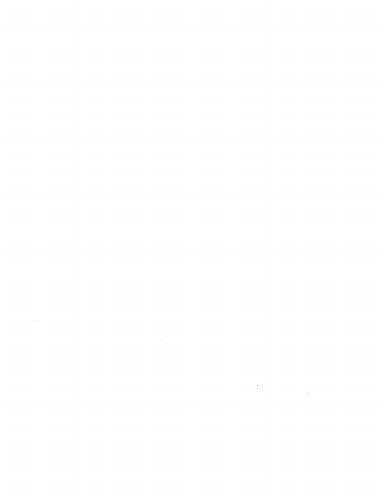$\label{eq:2.1} \frac{1}{\sqrt{2}}\left(\frac{1}{\sqrt{2}}\right)^{2} \left(\frac{1}{\sqrt{2}}\right)^{2} \left(\frac{1}{\sqrt{2}}\right)^{2} \left(\frac{1}{\sqrt{2}}\right)^{2} \left(\frac{1}{\sqrt{2}}\right)^{2} \left(\frac{1}{\sqrt{2}}\right)^{2} \left(\frac{1}{\sqrt{2}}\right)^{2} \left(\frac{1}{\sqrt{2}}\right)^{2} \left(\frac{1}{\sqrt{2}}\right)^{2} \left(\frac{1}{\sqrt{2}}\right)^{2} \left(\frac{1}{\sqrt{2}}\right)^{2} \left(\$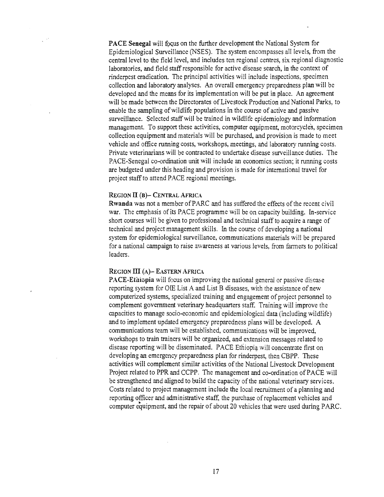PACE Senegal will focus on the further development the National System for Epidemiological Surveillance (NSES). The system encompasses all levels, from the central level to the field level, and includes ten regional centres, six regional diagnostic laboratories, and field staff responsible for active disease search, in the context of rinderpest eradication. The principal activities will include inspections, specimen collection and laboratory analyses. An overall emergency preparedness plan will be developed and the means for its implementation will be put in place. An agreement will be made between the Directorates of Livestock Production and National Parks, to enable the sampling of wildlife populations in the course of active and passive surveillance. Selected staff will be trained in wildlife epidemiology and information management. To support these activities, computer equipment, motorcycle's, specimen collection equipment and materials will be purchased, and provision is made to meet vehicle and office running costs, workshops, meetings, and laboratory running costs. Private veterinarians will be contracted to undertake disease surveillance duties. The PACE-Senegal co-ordination unit will include an economics section; it running costs are budgeted under this heading and provision is made for international travel for project staff to attend PACE regional meetings.

#### REGION II (B)- CENTRAL AFRICA

Rwanda was not a member of PARC and has suffered the effects of the recent civil war. The emphasis of its PACE programme will be on capacity building. In-service short courses will be given to professional and technical staff to acquire a range of technical and project management skills. In the course of developing a national system for epidemiological surveillance, communications materials will be prepared for a national campaign to raise awareness at various levels, from farmers to political leaders.

#### REGION HI (A)— EASTERN AFRICA

PACE-Ethiopia will focus on improving the national general or passive disease reporting system for OIE List A and List B diseases, with the assistance of new computerized systems, specialized training and engagement of project personnel to complement government veterinary headquarters staff. Training will improve the capacities to manage socio-economic and epidemiological data (including wildlife) and to implement updated emergency preparedness plans will be developed. A communications team will be established, communications will be improved, workshops to train trainers will be organized, and extension messages related to disease reporting will be disseminated. PACE Ethiopia will concentrate first on developing an emergency preparedness plan for rinderpest, then CBPP. These activities will complement similar activities of the National Livestock Development Project related to PPR and CCPP. The management and co-ordination of PACE will be strengthened and aligned to build the capacity of the national veterinary services. Costs related to project management include the local recruitment of a planning and reporting officer and administrative staff, the purchase of replacement vehicles and computer equipment, and the repair of about 20 vehicles that were used during PARC.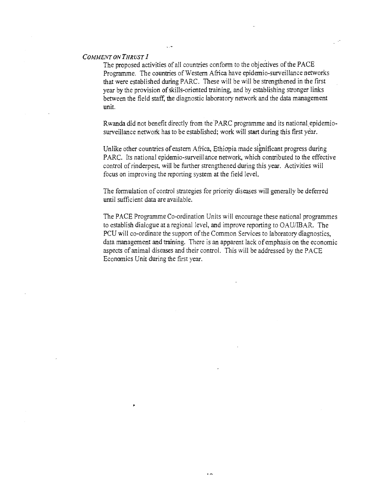#### *COMMENT ON THRUST 1*

The proposed activities of all countries conform to the objectives of the PACE Programme. The countries of Western Africa have epidemio-surveillance networks that were established during PARC. These will be will be strengthened in the first year by the provision of skills-oriented training, and by establishing stronger links between the field staff, the diagnostic laboratory network and the data management unit.

Rwanda did not benefit directly from the PARC programme and its national epidemiosurveillance network has to be established; work will start during this first year.

Unlike other countries of eastern Africa, Ethiopia made significant progress during PARC. Its national epidemio-surveillance network, which contributed to the effective control of rinderpest, will be further strengthened during this year. Activities will focus on improving the reporting system at the field level.

The formulation of control strategies for priority diseases will generally be deferred until sufficient data are available.

The PACE Programme Co-ordination Units will encourage these national programmes to establish dialogue at a regional level, and improve reporting to OAU/JBAR. The PCU will co-ordinate the support of the Common Services to laboratory diagnostics, data management and training. There is an apparent lack of emphasis on the economic aspects of animal diseases and their control. This will be addressed by the PACE Economics Unit during the first year.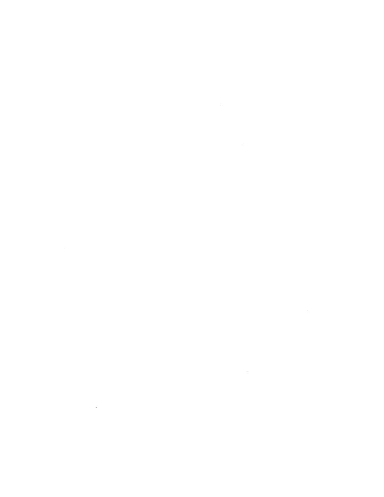$\label{eq:2.1} \frac{1}{\sqrt{2}}\left(\frac{1}{\sqrt{2}}\right)^{2} \left(\frac{1}{\sqrt{2}}\right)^{2} \left(\frac{1}{\sqrt{2}}\right)^{2} \left(\frac{1}{\sqrt{2}}\right)^{2} \left(\frac{1}{\sqrt{2}}\right)^{2} \left(\frac{1}{\sqrt{2}}\right)^{2} \left(\frac{1}{\sqrt{2}}\right)^{2} \left(\frac{1}{\sqrt{2}}\right)^{2} \left(\frac{1}{\sqrt{2}}\right)^{2} \left(\frac{1}{\sqrt{2}}\right)^{2} \left(\frac{1}{\sqrt{2}}\right)^{2} \left(\$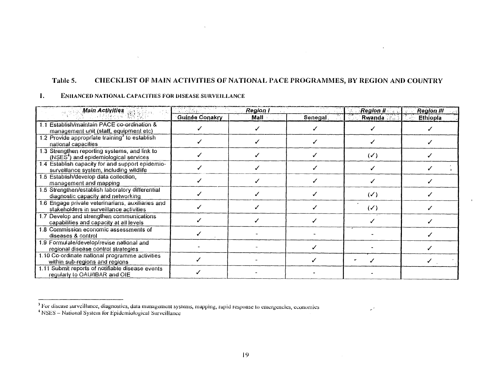## Table 5. CHECKLIST OF MAIN ACTIVITIES OF NATIONAL PACE PROGRAMMES, BY REGION AND COUNTRY

 $\Delta$ 

 $\omega^{(2)}$ 

 $\ddot{\phantom{1}}$ 

 $\mathbf{r}$ 

#### 1. ENHANCED NATIONAL CAPACITIES FOR DISEASE SURVEILLANCE

 $\sim 10^{-1}$ 

| <b>Main Activities</b>                                                                             | SAN SANG PARTI | <b>Region I</b> |          | <b>Region II</b> | <b>Region III</b> |
|----------------------------------------------------------------------------------------------------|----------------|-----------------|----------|------------------|-------------------|
|                                                                                                    | Guinée Conakry | Mall            | Senegal. | Rwanda <b>Ba</b> | Ethiopia          |
| 1.1 Establish/maintain PACE co-ordination &<br>management unit (staff, equipment etc)              |                |                 |          |                  |                   |
| 1.2 Provide appropriate training <sup>3</sup> to establish<br>national capacities                  |                |                 |          |                  |                   |
| 1.3 Strengthen reporting systems, and link to<br>(NSES <sup>4</sup> ) and epidemiological services |                |                 |          | $(\checkmark)$   |                   |
| 1.4 Establish capacity for and support epidemio-<br>surveillance system, including wildlife        |                |                 |          |                  |                   |
| 1.5 Establish/develop data collection,<br>management and mapping                                   |                |                 |          |                  |                   |
| 1.5 Strengthen/establish laboratory differential<br>diagnostic capacity and networking             |                |                 |          | $(\checkmark)$   |                   |
| 1.6 Engage private veterinarians, auxiliaries and<br>stakeholders in surveillance activities       |                |                 |          | (ソ)              |                   |
| 1.7 Develop and strengthen communications<br>capabilities and capacity at all levels               |                |                 |          |                  |                   |
| 1.8 Commission economic assessments of<br>diseases & control                                       |                |                 |          |                  |                   |
| 1.9 Formulate/develop/revise national and<br>regional disease control strategies                   |                |                 |          |                  |                   |
| 1.10 Co-ordinate national programme activities<br>within sub-regions and regions                   |                |                 |          |                  |                   |
| 1.11 Submit reports of notifiable disease events<br>regularly to OAU/IBAR and OIE                  |                |                 |          |                  |                   |

<sup>3</sup>For disease surveillance, diagnostics, data management systems, mapping, rapid response to emergencies, economics

<sup>4</sup>NSES — National System for Epidemiological Surveillance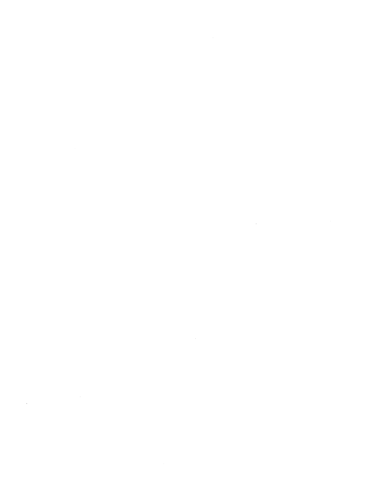$\label{eq:2.1} \frac{1}{\sqrt{2}}\int_{\mathbb{R}^3}\frac{1}{\sqrt{2}}\left(\frac{1}{\sqrt{2}}\right)^2\frac{1}{\sqrt{2}}\left(\frac{1}{\sqrt{2}}\right)^2\frac{1}{\sqrt{2}}\left(\frac{1}{\sqrt{2}}\right)^2\frac{1}{\sqrt{2}}\left(\frac{1}{\sqrt{2}}\right)^2\frac{1}{\sqrt{2}}\left(\frac{1}{\sqrt{2}}\right)^2\frac{1}{\sqrt{2}}\frac{1}{\sqrt{2}}\frac{1}{\sqrt{2}}\frac{1}{\sqrt{2}}\frac{1}{\sqrt{2}}\frac{1}{\sqrt{2}}$ 

 $\label{eq:2.1} \frac{1}{\sqrt{2}}\left(\frac{1}{\sqrt{2}}\right)^{2} \left(\frac{1}{\sqrt{2}}\right)^{2} \left(\frac{1}{\sqrt{2}}\right)^{2} \left(\frac{1}{\sqrt{2}}\right)^{2} \left(\frac{1}{\sqrt{2}}\right)^{2} \left(\frac{1}{\sqrt{2}}\right)^{2} \left(\frac{1}{\sqrt{2}}\right)^{2} \left(\frac{1}{\sqrt{2}}\right)^{2} \left(\frac{1}{\sqrt{2}}\right)^{2} \left(\frac{1}{\sqrt{2}}\right)^{2} \left(\frac{1}{\sqrt{2}}\right)^{2} \left(\$ 

 $\label{eq:2.1} \frac{1}{2}\sum_{i=1}^n\frac{1}{2}\sum_{j=1}^n\frac{1}{2}\sum_{j=1}^n\frac{1}{2}\sum_{j=1}^n\frac{1}{2}\sum_{j=1}^n\frac{1}{2}\sum_{j=1}^n\frac{1}{2}\sum_{j=1}^n\frac{1}{2}\sum_{j=1}^n\frac{1}{2}\sum_{j=1}^n\frac{1}{2}\sum_{j=1}^n\frac{1}{2}\sum_{j=1}^n\frac{1}{2}\sum_{j=1}^n\frac{1}{2}\sum_{j=1}^n\frac{1}{2}\sum_{j=1}^n\$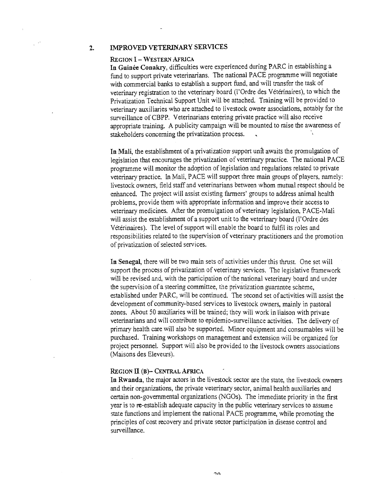#### 2. IMPROVED VETERINARY SERVICES

#### **REGION I - WESTERN AFRICA**

In Guinée Conakry, difficulties were experienced during PARC in establishing a fund to support private veterinarians. The national PACE programme will negotiate with commercial banks to establish a support fund, and will transfer the task of veterinary registration to the veterinary board (l'Ordre des Veterinaires), to which the Privatization Technical Support Unit will be attached. Training will be provided to veterinary auxiliaries who are attached to livestock owner associations, notably for the surveillance of CBPP. Veterinarians entering private practice will also receive appropriate training. A publicity campaign will be mounted to raise the awareness of stakeholders concerning the privatization process. ,

In Mali, the establishment of a privatization support unit awaits the promulgation of legislation that encourages the privatization of veterinary practice. The national PACE programme will monitor the adoption of legislation and regulations related to private veterinary practice. In Mali, PACE will support three main groups of players, namely: livestock owners, field staff and veterinarians between whom mutual respect should be enhanced. The project will assist existing farmers' groups to address animal health problems, provide them with appropriate information and improve their access to veterinary medicines. After the promulgation of veterinary legislation, PACE-Mali will assist the establishment of a support unit to the veterinary board (l'Ordre des Veterinaires). The level of support will enable the board to fulfil its roles and responsibilities related to the supervision of veterinary practitioners and the promotion of privatization of selected services.

In Senegal, there will be two main sets of activities under this thrust. One set will support the process of privatization of veterinary services. The legislative framework will be revised and, with the participation of the national veterinary board and under the supervision of a steering committee, the privatization guarantee scheme, established under PARC, will be continued. The second set of activities will assist the development of community-based services to livestock owners, mainly in pastoral zones. About 50 auxiliaries will be trained; they will work in liaison with private veterinarians and will contribute to epidemio-surveillance activities. The delivery of primary health care will also be supported. Minor equipment and consumables will be purchased. Training workshops on management and extension will be organized for project personnel. Support will also be provided to the livestock owners associations (Maisons des Eleveurs).

#### REGION II (B)- CENTRAL AFRICA

In Rwanda, the major actors in the livestock sector are the state, the livestock owners and their organizations, the private veterinary sector, animal health auxiliaries and certain non-governmental organizations (NGOs). The immediate priority in the first year is to re-establish adequate capacity in the public veterinary services to assume state functions and implement the national PACE programme, while promoting the principles of cost recovery and private sector participation in disease control and surveillance.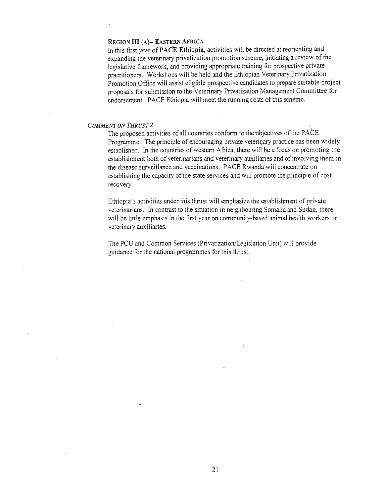#### REGION III (A) - EASTERN AFRICA

In this first year of PACE Ethiopia, activities will be directed at reorienting and expanding the veterinary privatization promotion scheme, initiating a review of the legislative framework, and providing appropriate training for prospective private practitioners. Workshops will be held and the Ethiopian Veterinary Privatization Promotion Office will assist eligible prospective candidates to prepare suitable project proposals for submission to the Veterinary Privatization Management Committee for endorsement. PACE Ethiopia will meet the running costs of this scheme.

#### *COMMENT ON THRUST 2*

The proposed activities of all countries conform to the objectives of the PACE Programme. The principle of encouraging private veterinary practice has been widely established. In the countries of western Africa, there will be a focus on promoting the establishment both of veterinarians and veterinary auxiliaries and of involving them in the disease surveillance and vaccinations. PACE Rwanda will concentrate on establishing the capacity of the state services and will promote the principle of cost recovery.

Ethiopia's activities under this thrust will emphasize the establishment of private veterinarians. In contrast to the situation in neighbouring Somalia and Sudan, there will be little emphasis in the first year on community-based animal health workers or veterinary auxiliaries.

The PCU and Common Services (Privatization/Legislation Unit) will provide guidance for the national programmes for this thrust.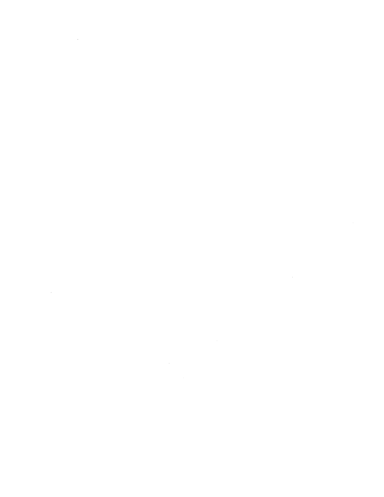$\label{eq:2.1} \mathcal{L}(\mathcal{L}^{\text{max}}_{\mathcal{L}}(\mathcal{L}^{\text{max}}_{\mathcal{L}})) \leq \mathcal{L}(\mathcal{L}^{\text{max}}_{\mathcal{L}}(\mathcal{L}^{\text{max}}_{\mathcal{L}}))$ 

 $\label{eq:2.1} \frac{1}{\sqrt{2}}\int_{\mathbb{R}^3}\frac{1}{\sqrt{2}}\left(\frac{1}{\sqrt{2}}\right)^2\frac{1}{\sqrt{2}}\left(\frac{1}{\sqrt{2}}\right)^2\frac{1}{\sqrt{2}}\left(\frac{1}{\sqrt{2}}\right)^2.$  $\label{eq:2.1} \frac{1}{\sqrt{2}}\left(\frac{1}{\sqrt{2}}\right)^{2} \left(\frac{1}{\sqrt{2}}\right)^{2} \left(\frac{1}{\sqrt{2}}\right)^{2} \left(\frac{1}{\sqrt{2}}\right)^{2} \left(\frac{1}{\sqrt{2}}\right)^{2} \left(\frac{1}{\sqrt{2}}\right)^{2} \left(\frac{1}{\sqrt{2}}\right)^{2} \left(\frac{1}{\sqrt{2}}\right)^{2} \left(\frac{1}{\sqrt{2}}\right)^{2} \left(\frac{1}{\sqrt{2}}\right)^{2} \left(\frac{1}{\sqrt{2}}\right)^{2} \left(\$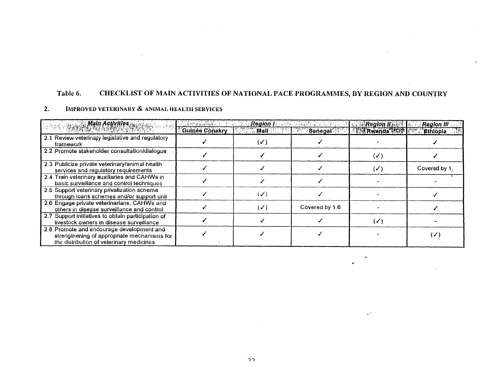## **Table 6. CHECKLIST OF MAIN ACTIVITIES OF NATIONAL PACE PROGRAMMES, BY REGION AND COUNTRY**

 $\rightarrow$ 

 $\mathcal{L}_{\mathcal{A}}$ 

 $\sim$ 

 $\omega^{(2)}$ 

 $\mathcal{A}(\mathcal{A})$  and  $\mathcal{A}(\mathcal{A})$  and  $\mathcal{A}(\mathcal{A})$ 

## 2. **IMPROVED VETERINARY & ANIMAL HEALTH SERVICES**

 $\bar{\mathbf{v}}$ 

| IMPROVED VETERINARY & ANIMAL HEALTH SERVICES                                                                                         |                                 |                |                                          |                                    |                   |  |
|--------------------------------------------------------------------------------------------------------------------------------------|---------------------------------|----------------|------------------------------------------|------------------------------------|-------------------|--|
| <b>Main Activities Assessment Community</b>                                                                                          | $5.42.4$ art segment for $\sim$ |                | <b>Region I</b> Albert Martin Contractor | 【最大的Region IT&德隆】                  | <b>Region III</b> |  |
|                                                                                                                                      | Guinée Conakry                  | ∭Mall ⊠        |                                          | <b>NEW Rwanda 野蛮州 NEW Ethlopia</b> |                   |  |
| 2.1 Review veterinary legislative and regulatory<br>framework                                                                        |                                 | $(\checkmark)$ |                                          |                                    |                   |  |
| 2.2 Promote stakeholder consultation/dialogue                                                                                        |                                 |                |                                          | (✓)                                |                   |  |
| 2.3 Publicize private veterinary/animal health<br>services and regulatory requirements                                               |                                 |                |                                          | $(\checkmark)$                     | Covered by 1.     |  |
| 2.4 Train veterinary auxiliaries and CAHWs in<br>basic surveillance and control techniques                                           |                                 |                |                                          |                                    |                   |  |
| 2.5 Support veterinary privatization scheme<br>through loans schemes and/or support unit                                             |                                 | $(\checkmark)$ |                                          |                                    |                   |  |
| 2.6 Engage private veterinarians, CAHWs and<br>others in disease surveillance and control                                            |                                 | $(\checkmark)$ | Covered by 1.6                           |                                    |                   |  |
| 2.7 Support initiatives to obtain participation of<br>livestock owners in disease surveillance                                       |                                 |                |                                          | $(\checkmark)$                     |                   |  |
| 2.8 Promote and encourage development and<br>strengthening of appropriate mechanisms for<br>the distribution of veterinary medicines |                                 |                |                                          |                                    | $(\checkmark)$    |  |

 $\sim 10^7$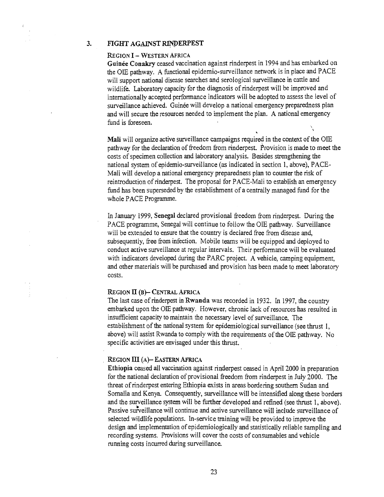#### **3. FIGHT AGAINST RWERPEST**

#### REGION I — WESTERN AFRICA

**Guinee Conakry** ceased vaccination against rinderpest in 1994 and has embarked on the OIE pathway. A functional epidemio-surveillance network is in place and PACE will support national disease searches and serological surveillance in cattle and wildlife. Laboratory capacity for the diagnosis of rinderpest will be improved and internationally accepted performance indicators will be adopted to assess the level of surveillance achieved. Guinée will develop a national emergency preparedness plan and will secure the resources needed to implement the plan. A national emergency fund is foreseen.

**Mali** will organize active surveillance campaigns required in the context of the OIE pathway for the declaration of freedom from rinderpest. Provision is made to meet the costs of specimen collection and laboratory analysis. Besides strengthening the national system of epidemio-surveillance (as indicated in section 1, above), PACE-Mali will develop a national emergency preparedness plan to counter the risk of reintroduction of rinderpest. The proposal for PACE-Mali to establish an emergency fund has been superseded by the establishment of a centrally managed fund for the whole PACE Programme.

In January 1999, **Senegal** declared provisional freedom from rinderpest. During the PACE programme, Senegal will continue to follow the OlE pathway. Surveillance will be extended to ensure that the country is declared free from disease and, subsequently, free from infection. Mobile teams will be equipped and deployed to conduct active surveillance at regular intervals. Their performance will be evaluated with indicators developed during the PARC project. A vehicle, camping equipment, and other materials will be purchased and provision has been made to meet laboratory costs.

#### REGION II (B)— CENTRAL AFRICA

The last case of rinderpest in **Rwanda** was recorded in 1932. In 1997, the country embarked upon the OlE pathway. However, chronic lack of resources has resulted in insufficient capacity to maintain the necessary level of surveillance. The establishment of the national system for epidemiological surveillance (see thrust I, above) will assist Rwanda to comply with the requirements of the OlE pathway. No specific activities are envisaged under this thrust.

#### REGION III (A)— EASTERN AFRICA

**Ethiopia** ceased all vaccination against rinderpest ceased in April 2000 in preparation for the national declaration of provisional freedom from rinderpest in July 2000. The threat of rinderpest entering Ethiopia exists in areas bordering southern Sudan and Somalia and Kenya. Consequently, surveillance will be intensified along these borders and the surveillance system will be further developed and refined (see thrust 1, above). Passive surveillance will continue and active surveillance will include surveillance of selected wildlife populations. In-service training will be provided to improve the design and implementation of epidemiologically and statistically reliable sampling and recording systems. Provisions will cover the costs of consumables and vehicle running costs incurred during surveillance.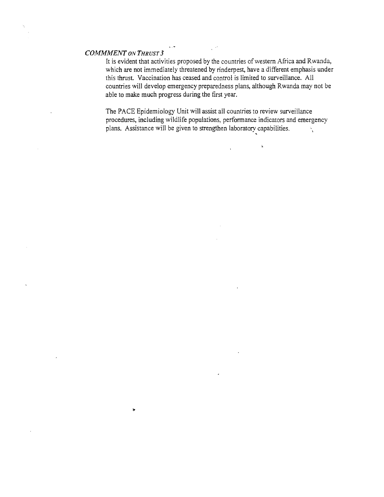## *COMMMENT ON THRUST 3*

 $\bullet$ 

It is evident that activities proposed by the countries of western Africa and Rwanda, which are not immediately threatened by rinderpest, have a different emphasis under this thrust. Vaccination has ceased and control is limited to surveillance. All countries will develop emergency preparedness plans, although Rwanda may not be able to make much progress during the first year.

The PACE Epidemiology Unit will assist all countries to review surveillance procedures, including wildlife populations, performance indicators and emergency plans. Assistance will be given to strengthen laboratory capabilities.  $\Delta_{\rm g}$ 

 $\ddot{\phantom{a}}$ 

 $\bar{\bf k}$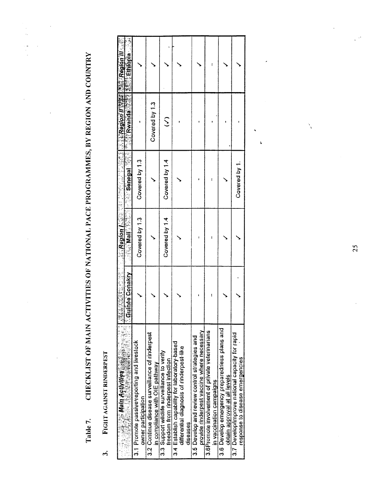CHECKLIST OF MAIN ACTIVITIES OF NATIONAL PACE PROGRAMMES, BY REGION AND COUNTRY Table 7.

l,

l,

 $\frac{1}{2}$ 

 $\hat{\boldsymbol{\epsilon}}$ 

 $\ddot{\phantom{0}}$ 

# FIGHT AGAINST RINDERPEST  $\ddot{ }$

| Covered by 1.3                                                                              |
|---------------------------------------------------------------------------------------------|
|                                                                                             |
|                                                                                             |
|                                                                                             |
|                                                                                             |
| 3.2 Continue disease surveillance of rinderpest<br>in compliance with OIE pathway           |
|                                                                                             |
|                                                                                             |
| 3.4 Establish capability for laboratory-based<br>differential diagnosis of rinderpest-like  |
| provide rinderpest vaccine where necessary<br>3.5 Develop and review control strategies and |
| 3.6Promote involvement of private veterinarians<br>in vaccination campaigns                 |
| 3.6 Develop emergency preparedness plans and<br>obtain approval at all levels               |

25

 $\mathbb{R}^d$ 

À,

 $\ddot{\phantom{0}}$ 

 $\bar{\bar{k}}$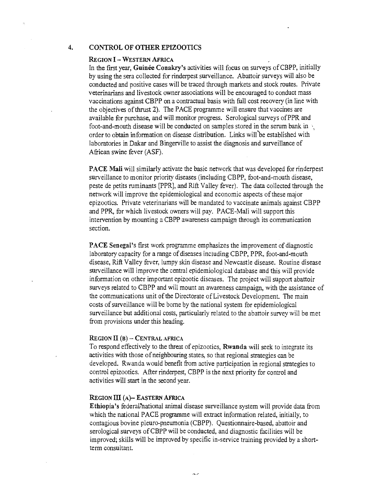#### 4. CONTROL OF OTHER EPIZOOTICS

#### REGION I — WESTERN AFRICA

In the first year, Guinée Conakry's activities will focus on surveys of CBPP, initially by using the sera collected for rinderpest surveillance. Abattoir surveys will also be conducted and positive cases will be traced through markets and stock routes. Private veterinarians and livestock owner associations will be encouraged to conduct mass vaccinations against CBPP on a contractual basis with full cost recovery (in line with the objectives of thrust 2). The PACE programme will ensure that vaccines are available for purchase, and will monitor progress. Serological surveys of PPR and foot-and-mouth disease will be conducted on samples stored in the serum bank in order to obtain information on disease distribution. Links will be established with laboratories in Dakar and Bingerville to assist the diagnosis and surveillance of African swine fever (ASF).

PACE Mali will similarly activate the basic network that was developed for rinderpest surveillance to monitor priority diseases (including CBPP, foot-and-mouth disease, peste de petits ruminants [PPR], and Rift Valley fever). The data collected through the network will improve the epidemiological and economic aspects of these major epizootics. Private veterinarians will be mandated to vaccinate animals against CBPP and PPR, for which livestock owners will pay. PACE-Mali will support this intervention by mounting a CBPP awareness campaign through its communication section.

PACE Senegal's first work programme emphasizes the improvement of diagnostic laboratory capacity for a range of diseases including CBPP, PPR, foot-and-mouth disease, Rift Valley fever, lumpy skin disease and Newcastle disease. Routine disease surveillance will improve the central epidemiological database and this will provide information on other important epizootic diseases. The project will support abattoir surveys related to CBPP and will mount an awareness campaign, with the assistance of the communications unit of the Directorate of Livestock Development. The main costs of surveillance will be borne by the national system for epidemiological surveillance but additional costs, particularly related to the abattoir survey will be met from provisions under this heading.

#### $REGION II (B) - CENTRAL AFRICA$

To respond effectively to the threat of epizootics, Rwanda will seek to integrate its activities with those of neighbouring states, so that regional strategies can be developed. Rwanda would benefit from active participation in regional strategies to control epizootics. After rinderpest, CBPP is the next priority for control and activities will start in the second year.

#### REGION III (A) - EASTERN AFRICA

Ethiopia's federal national animal disease surveillance system will provide data from which the national PACE programme will extract information related, initially, to contagious bovine pleuro-pneumonia (CBPP). Questionnaire-based, abattoir and serological surveys of CBPP will be conducted, and diagnostic facilities will be improved; skills will be improved by specific in-service training provided by a shortterm consultant.

 $\sim$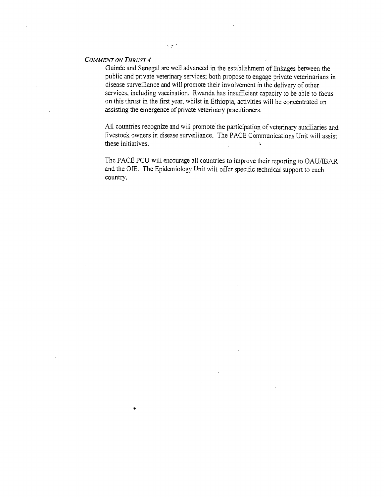#### *COMMENT ON THRUST 4*

¥

Guinée and Senegal are well advanced in the establishment of linkages between the public and private veterinary services; both propose to engage private veterinarians in disease surveillance and will promote their involvement in the delivery of other services, including vaccination. Rwanda has insufficient capacity to be able to focus on this thrust in the first year, whilst in Ethiopia, activities will be concentrated on assisting the emergence of private veterinary practitioners.

All countries recognize and will promote the participation of veterinary auxiliaries and livestock owners in disease surveillance. The PACE Communications Unit will assist these initiatives.  $\bar{\mathbf{r}}$ 

The PACE PCU will encourage all countries to improve their reporting to OAU/IBAR and the OIE. The Epidemiology Unit will offer specific technical support to each country.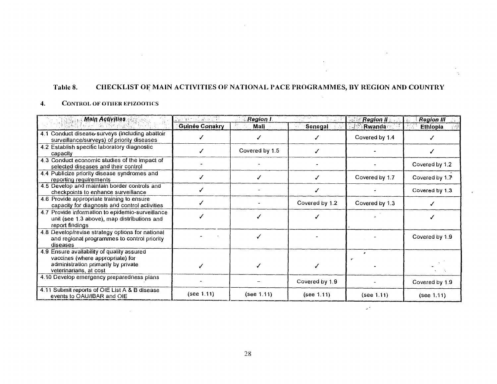#### CHECKLIST OF MAIN ACTIVITIES OF NATIONAL PACE PROGRAMMES, BY REGION AND COUNTRY Table 8.

 $\mathcal{L}$ 

 $\omega^{(2)}$ 

 $\sim$ 

#### CONTROL OF OTHER EPIZOOTICS 4.

 $\sim 10^{-1}$ 

 $\mathcal{A}^{\mathcal{A}}$ 

| Main Activities                                                                                                       | Antiken (Dato Sulli) | <b>Region I</b> |                | Region II<br>أكلوه | <b>Region III</b> |
|-----------------------------------------------------------------------------------------------------------------------|----------------------|-----------------|----------------|--------------------|-------------------|
|                                                                                                                       | Guinée Conakry       | Mali            | <b>Senegal</b> | <b>Rwanda</b>      | <b>Ethlopia</b>   |
| 4.1 Conduct disease surveys (including abattoir<br>surveillance/surveys) of priority diseases                         |                      |                 |                | Covered by 1.4     |                   |
| 4.2 Establish specific laboratory diagnostic<br>capacity                                                              |                      | Covered by 1.5  |                |                    |                   |
| 4.3 Conduct economic studies of the impact of<br>selected diseases and their control                                  |                      |                 |                |                    | Covered by 1.2    |
| 4.4 Publicize priority disease syndromes and<br>reporting requirements                                                |                      |                 |                | Covered by 1.7     | Covered by 1.7    |
| 4.5 Develop and maintain border controls and<br>checkpoints to enhance surveillance                                   |                      |                 |                |                    | Covered by 1.3    |
| 4.6 Provide appropriate training to ensure<br>capacity for diagnosis and control activities                           |                      |                 | Covered by 1.2 | Covered by 1.3     |                   |
| 4.7 Provide information to epidemio-surveillance<br>unit (see 1.3 above), map distributions and<br>report findings    |                      |                 |                |                    |                   |
| 4.8 Develop/revise strategy options for national<br>and regional programmes to control priority<br>diseases           |                      |                 |                |                    | Covered by 1.9    |
| 4.9 Ensure availability of quality assured<br>vaccines (where appropriate) for<br>administration primarily by private |                      |                 |                |                    |                   |
| veterinarians, at cost                                                                                                |                      |                 |                |                    |                   |
| 4.10 Develop emergency preparedness plans                                                                             |                      |                 | Covered by 1.9 |                    | Covered by 1.9    |
| 4.11 Submit reports of OIE List A & B disease<br>events to OAU/IBAR and OIE                                           | (see 1.11)           | (see 1.11)      | (see $1.11$ )  | (see 1.11)         | (see $1.11$ )     |

28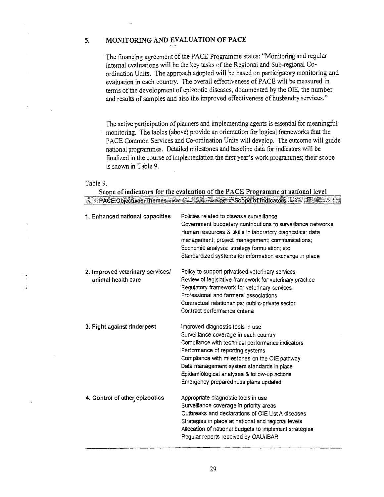# 5. MONITORING AND EVALUATION OF PACE

The financing agreement of the PACE Programme states: "Monitoring and regular internal evaluations will be the key tasks of the Regional and Sub-regional Coordination Units. The approach adopted will be based on participatory monitoring and evaluation in each country. The overall effectiveness of PACE will be measured in terms of the development of epizootic diseases, documented by the 01E, the number and results of samples and also the improved effectiveness of husbandry services."

The active participation of planners and implementing agents is essential for meaningful monitoring. The tables (above) provide an orientation for logical frameworks that the PACE Common Services and Co-ordination Units will develop. The outcome will guide national programmes. Detailed milestones and'baseline data for indicators will be finalized in the course of implementation the first year's work programmes; their scope is shown in Table 9.

#### Table 9.

| PACE Objectives/Themes: 2002 2002                      | Scope of indicators for the evaluation of the PACE Programme at national level<br>Scope of Indicators                                                                                                                                                                                                                                                   |
|--------------------------------------------------------|---------------------------------------------------------------------------------------------------------------------------------------------------------------------------------------------------------------------------------------------------------------------------------------------------------------------------------------------------------|
|                                                        |                                                                                                                                                                                                                                                                                                                                                         |
| 1. Enhanced national capacities                        | Policies related to disease surveillance<br>Government budgetary contributions to surveillance networks<br>Human resources & skills in laboratory diagnostics; data<br>management; project management; communications;<br>Economic analysis; strategy formulation; etc.<br>Standardized systems for information exchange in place                       |
| 2. Improved veterinary services/<br>animal health care | Policy to support privatised veterinary services<br>Review of legislative framework for veterinary practice<br>Regulatory framework for veterinary services<br>Professional and farmers' associations<br>Contractual relationships: public-private sector<br>Contract performance criteria                                                              |
| 3. Fight against rinderpest                            | Improved diagnostic tools in use<br>Surveillance coverage in each country<br>Compliance with technical performance indicators<br>Performance of reporting systems<br>Compliance with milestones on the OIE pathway<br>Data management system standards in place<br>Epidemiological analyses & follow-up actions<br>Emergency preparedness plans updated |
| 4. Control of other epizootics                         | Appropriate diagnostic tools in use<br>Surveillance coverage in priority areas<br>Outbreaks and declarations of OIE List A diseases<br>Strategies in place at national and regional levels<br>Allocation of national budgets to implement strategies<br>Regular reports received by OAU/IBAR                                                            |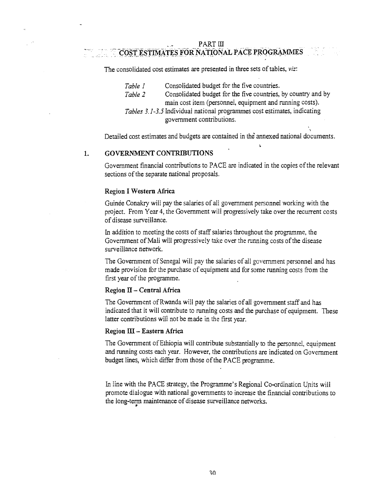## COST **FOR NATIONAL** PACE **PROGRAMMES**

The consolidated cost estimates are presented in three sets of tables, *viz:* 

| Table I | Consolidated budget for the five countries.                              |
|---------|--------------------------------------------------------------------------|
| Table 2 | Consolidated budget for the five countries, by country and by            |
|         | main cost item (personnel, equipment and running costs).                 |
|         | Tables 3.1-3.5 Individual national programmes cost estimates, indicating |
|         | government contributions.                                                |

 $\mathbf{r}$ 

Detailed cost estimates and budgets are contained in the annexed national documents.

#### **1. GOVERNMENT CONTRIBUTIONS**

Government financial contributions to PACE are indicated in the copies of the relevant sections of the separate national proposals.

#### **Region I Western Africa**

Guinée Conakry will pay the salaries of all government personnel working with the project. From Year 4, the Government will progressively take over the recurrent costs of disease surveillance.

In addition to meeting the costs of staff salaries throughout the programme, the Government of Mali will progressively take over the running costs of the disease surveillance network.

The Government of Senegal will pay the salaries of all government personnel and has made provision for the purchase of equipment and for some running costs from the first year of the programme.

#### **Region II — Central Africa**

The Government of Rwanda will pay the salaries of all government staff and has indicated that it will contribute to running costs and the purchase of equipment. These latter contributions will not be made in the first year.

#### **Region III — Eastern Africa**

The Government of Ethiopia will contribute substantially to the personnel, equipment and running costs each year. However, the contributions are indicated on Government budget lines, which differ from those of the PACE programme.

In line with the PACE strategy, the Programme's Regional Co-ordination Units will promote dialogue with national governments to increase the financial contributions to the long-term maintenance of disease surveillance networks.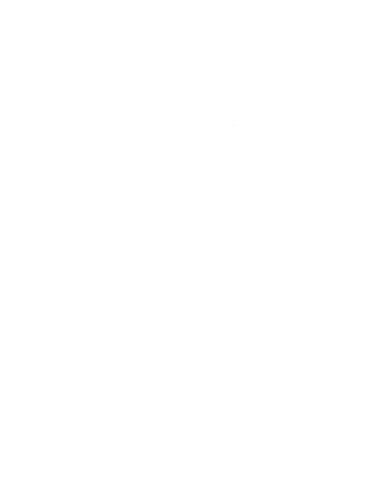$\label{eq:2.1} \frac{1}{\sqrt{2}}\left(\frac{1}{\sqrt{2}}\right)^{2} \left(\frac{1}{\sqrt{2}}\right)^{2} \left(\frac{1}{\sqrt{2}}\right)^{2} \left(\frac{1}{\sqrt{2}}\right)^{2} \left(\frac{1}{\sqrt{2}}\right)^{2} \left(\frac{1}{\sqrt{2}}\right)^{2} \left(\frac{1}{\sqrt{2}}\right)^{2} \left(\frac{1}{\sqrt{2}}\right)^{2} \left(\frac{1}{\sqrt{2}}\right)^{2} \left(\frac{1}{\sqrt{2}}\right)^{2} \left(\frac{1}{\sqrt{2}}\right)^{2} \left(\$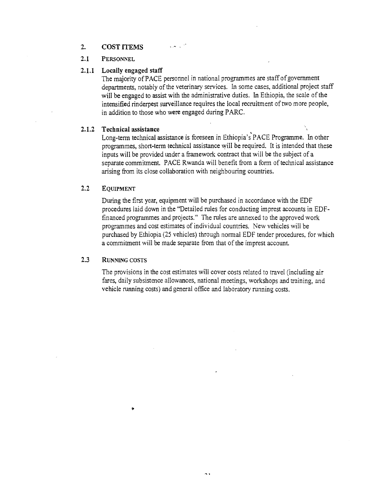#### $\sqrt{2}$ 2. COST ITEMS

#### 2.1 PERSONNEL

#### 2.1.1 Locally engaged staff

The majority of PACE personnel in national programmes are staff of government departments, notably of the veterinary services. In some cases, additional project staff will be engaged to assist with the administrative duties. In Ethiopia, the scale of the intensified rinderpest surveillance requires the local recruitment of two more people, in addition to those who were engaged during PARC.

#### 2.1.2 Technical assistance

Long-term technical assistance is foreseen in Ethiopia's PACE Programme. In other programmes, short-term technical assistance will be required. It is intended that these inputs will be provided under a framework contract that will be the subject of a separate commitment. PACE Rwanda will benefit from a form of technical assistance arising from its close collaboration with neighbouring countries.

#### 2.2 EQUIPMENT

During the first year, equipment will be purchased in accordance with the EDF procedures laid down in the "Detailed rules for conducting imprest accounts in EDFfinanced programmes and projects." The rules are annexed to the approved work programmes and cost estimates of individual countries. New vehicles will be purchased by Ethiopia (25 vehicles) through normal EDF tender procedures, for which a commitment will be made separate from that of the imprest account.

## 2.3 RUNNING COSTS

The provisions in the cost estimates will cover costs related to travel (including air fares, daily subsistence allowances, national meetings, workshops and training, and vehicle running costs) and general office and laboratory running costs.

 $\ddot{\phantom{1}}$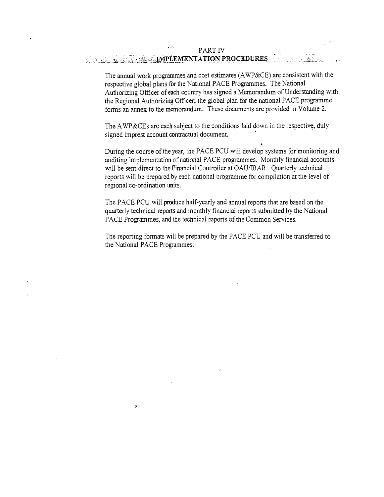## IMPLEMENTATION PROCEDURES

The annual work programmes and cost estimates (AWP&CE) are consistent with the respective global plans for the National PACE Programmes. The National Authorizing Officer of each country has signed a Memorandum of Understanding with the Regional Authorizing Officer, the global plan for the national PACE programme forms an annex to the memorandum. These documents are provided in Volume 2.

The AWP&CEs are each subject to the conditions laid down in the respective, duly signed imprest account contractual document.

During the course of the year, the PACE PCU will develop systems for monitoring and auditing implementation of national PACE programmes. Monthly financial accounts will be sent direct to the Financial Controller at OAU/IBAR. Quarterly technical reports will be prepared by each national programme for compilation at the level of regional co-ordination units.

The PACE PCU will produce half-yearly and annual reports that are based on the quarterly technical reports and monthly financial reports submitted by the National PACE Programmes, and the technical reports of the Common Services.

The reporting formats will be prepared by the PACE PCU and will be transferred to the National PACE Programmes.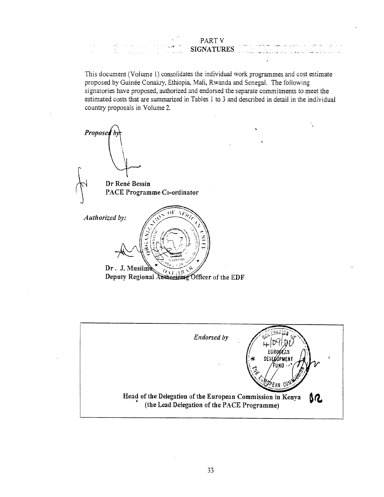PART V SIGNATURES

This document (Volume 1) consolidates the individual work programmes and cost estimate proposed by Guinee Conakry, Ethiopia, Mali, Rwanda and Senegal. The following signatories have proposed, authorized and endorsed the separate commitments to meet the estimated costs that are summarized in Tables 1 to 3 and described in detail in the individual country proposals in Volume 2.

*Propose*  **Dr Rene Bessin PACE Programme Co-ordinator**   $\frac{1}{2}F_{R}$  $OF$ *Authorized by:*  Dr. J. Musiime **Dr. 3. Muslime**  $O_{A}$  (*ARCA)* **Constraining** Officer of the EDF

|                                                            | <b>Endorsed by</b> | $C_{12} = 50.100$               |  |
|------------------------------------------------------------|--------------------|---------------------------------|--|
|                                                            |                    | EUROOL: 1<br>DEVELOPMEN<br>FUND |  |
| Head of the Delegation of the European Commission in Kenya |                    |                                 |  |
| (the Lead Delegation of the PACE Programme)                |                    | 52                              |  |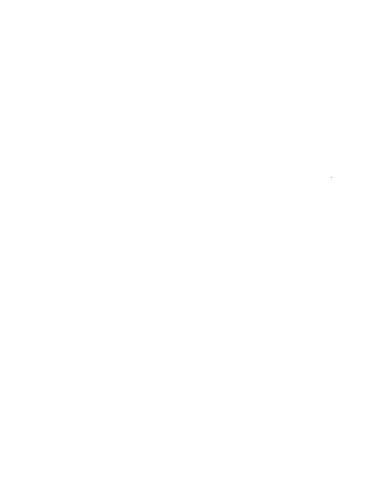$\label{eq:2.1} \frac{1}{\sqrt{2}}\int_{\mathbb{R}^3}\frac{1}{\sqrt{2}}\left(\frac{1}{\sqrt{2}}\right)^2\frac{1}{\sqrt{2}}\left(\frac{1}{\sqrt{2}}\right)^2\frac{1}{\sqrt{2}}\left(\frac{1}{\sqrt{2}}\right)^2.$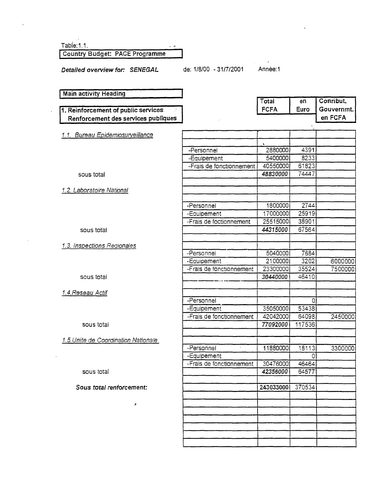**Tabie:1.1. 1 Country Budget: PACE Programme** 

**Detailed overview for: SENEGAL de: 1/8/00 - 31/7/2001 Année:1** 

 $\mathbf{z}_i$ 

ł,

1

| <b>Main activity Heading</b>         |                          |             |              |            |
|--------------------------------------|--------------------------|-------------|--------------|------------|
|                                      |                          | Total       | en           | Conribut.  |
| 1. Reinforcement of public services. |                          | <b>FCFA</b> | Euro         | Gouvernmt. |
| Renforcement des services publiques  |                          |             |              | en FCFA    |
|                                      |                          |             |              |            |
| 1.1. Bureau Epidemiosurveillance     |                          |             |              |            |
|                                      |                          | k.          |              |            |
|                                      | -Personnel               | 2880000     | 4391         |            |
|                                      | -Equipement              | 5400000     | 8233         |            |
|                                      | -Frais de fonctionnement | 40550000    | 61823        |            |
| sous total                           |                          | 48830000    | 74447        |            |
|                                      |                          |             |              |            |
| 1.2. Laboratoire National            |                          |             |              |            |
|                                      | -Personnel               | 1800000     | 2744         |            |
|                                      | -Equipement              | 17000000    | 25919        |            |
|                                      | -Frais de foctionnement  | 25515000    | 38901        |            |
| sous total                           |                          | 44315000    | 67564        |            |
|                                      |                          |             |              |            |
| 1.3. Inspections Regionales          |                          |             |              |            |
|                                      | -Personnel               | 5040000     | 7684         |            |
|                                      | -Equipement              | 2100000     | 3202         | 6000000    |
|                                      | -Frais de fonctionnement | 23300000    | 35524        | 7500000    |
| sous total                           |                          | 30440000    | 46410        |            |
|                                      |                          |             |              |            |
| 1.4. Reseau Actif                    |                          |             |              |            |
|                                      | -Personnel               |             | $\mathbf{0}$ |            |
|                                      | -Equipement              | 35050000    | 53438        |            |
|                                      | -Frais de fonctionnement | 42042000    | 64098        | 2450000    |
| sous total                           |                          | 77092000    | 117536       |            |
|                                      |                          |             |              |            |
| 1.5. Unite de Coordination Nationale | -Personnel               | 11880000    | 18113        | 3300000    |
|                                      | -Equipement              |             | 0            |            |
|                                      | -Frais de fonctionnement | 30476000    | 46464        |            |
| sous total                           |                          | 42356000    | 64577        |            |
|                                      |                          |             |              |            |
| Sous total renforcement:             |                          | 243033000   | 370534       |            |
|                                      |                          |             |              |            |
| ٠                                    |                          |             |              |            |
|                                      |                          |             |              |            |
|                                      |                          |             |              |            |
|                                      |                          |             |              |            |
|                                      |                          |             |              |            |
|                                      |                          |             |              |            |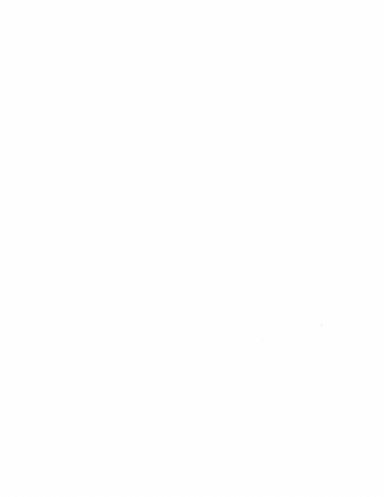$\label{eq:2.1} \frac{1}{\sqrt{2}}\int_{\mathbb{R}^3}\frac{1}{\sqrt{2}}\left(\frac{1}{\sqrt{2}}\right)^2\frac{1}{\sqrt{2}}\left(\frac{1}{\sqrt{2}}\right)^2\frac{1}{\sqrt{2}}\left(\frac{1}{\sqrt{2}}\right)^2\frac{1}{\sqrt{2}}\left(\frac{1}{\sqrt{2}}\right)^2.$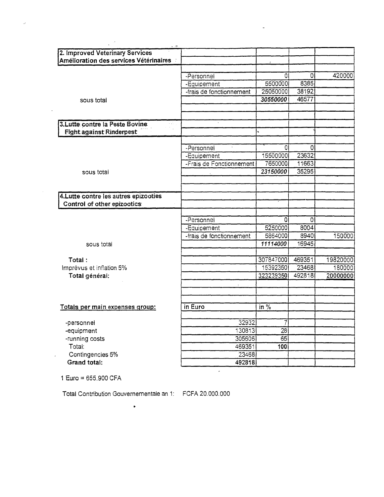| 2. Improved Veterinary Services        |                          |                            |        |          |
|----------------------------------------|--------------------------|----------------------------|--------|----------|
| Amélioration des services Vétérinaires |                          |                            |        |          |
|                                        |                          |                            |        |          |
|                                        | -Personnel               | 0                          | 0      | 420000   |
|                                        | -Equipement              | 5500000                    | 8385   |          |
|                                        | -frais de fonctionnement | 25050000                   | 38192  |          |
| sous total                             |                          | 30550000                   | 46577  |          |
|                                        |                          |                            |        |          |
|                                        |                          |                            |        |          |
| 3. Lutte contre la Peste Bovine        |                          |                            |        |          |
| <b>Fight against Rinderpest</b>        |                          |                            |        |          |
|                                        |                          |                            |        |          |
|                                        | -Personnel               | 0                          | 0      |          |
|                                        | -Equipement              | 15500000                   | 23632  |          |
|                                        | -Frais de Fonctionnement | 7650000                    | 11663  |          |
| sous total                             |                          | 23150000                   | 35295  |          |
|                                        |                          |                            |        |          |
|                                        |                          |                            |        |          |
| 4. Lutte contre les autres epizooties  |                          |                            |        |          |
| Control of other epizootics:           |                          |                            |        |          |
|                                        |                          |                            |        |          |
|                                        | -Personnel               | 0                          | 0      |          |
|                                        | -Equipement              | 5250000                    | 8004   |          |
|                                        | -frais de fonctionnement | 5864000                    | 8940   | 150000   |
| sous total                             |                          | 11114000                   | 16945  |          |
|                                        |                          |                            |        |          |
| Total:                                 |                          | 307847000                  | 469351 | 19820000 |
| Imprévus et inflation 5%               |                          | 15392350                   | 23468  | 180000   |
| Total général:                         |                          | 323239350                  | 492818 | 20000000 |
|                                        |                          |                            |        |          |
|                                        |                          |                            |        |          |
|                                        |                          |                            |        |          |
| Totals per main expenses group:        | in Euro                  | $\overline{\text{in } \%}$ |        |          |
|                                        |                          |                            |        |          |
| -personnel                             | 32932                    | 7                          |        |          |
| -equipment                             | 130813                   | $\overline{28}$            |        |          |
| -running costs                         | 305606                   | 65                         |        |          |
| Total:                                 | 469351                   | 100                        |        |          |
| Contingencies 5%                       | 23468                    |                            |        |          |
| <b>Grand total:</b>                    | 492818                   |                            |        |          |

**1 Euro = 655.900 CFA** 

 $\beta$  $\mathbb{R}^2$ 

 $\hat{\sigma}^{\dagger}$ 

 $\sim$   $\sim$ 

**Total Contribution Gouvernementale an 1: FCFA 20.000.000** 

 $\bullet$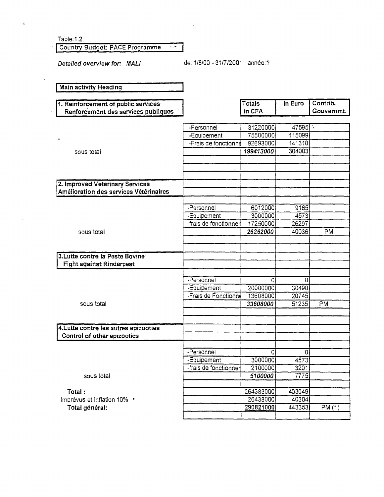Table:1.2.

 $\bar{\mathcal{G}}$ 

Country Budget: PACE Programme  $\sim$   $\sigma$ 

*Detailed overview for: MALI* de: 1/8/00 - 31/7/200<sup>-</sup> année: 1-

 $\ddot{\phantom{a}}$ 

Totals in Euro Contrib.

**Main activity Heading** 

1. Reinforcement of public services Renforcement des services publiques

| Renforcement des services publiques    |                       | in CFA         |          | Gouvernmt. |
|----------------------------------------|-----------------------|----------------|----------|------------|
|                                        |                       |                |          |            |
|                                        | -Personnel            | 31220000       | 47595    |            |
| -                                      | -Equipement           | 75500000       | 115099   |            |
|                                        | -Frais de fonctionne  | 92693000       | 141310   |            |
| sous total                             |                       | 199413000      | 304003   |            |
|                                        |                       |                |          |            |
|                                        |                       |                |          |            |
|                                        |                       |                |          |            |
| 2. Improved Veterinary Services        |                       |                |          |            |
| Amélioration des services Vétérinaires |                       |                |          |            |
|                                        |                       |                |          |            |
|                                        | -Personnel            | 6012000        | 9165     |            |
|                                        | -Equipement           | 3000000        | 4573     |            |
|                                        | -frais de fonctionnen | 17250000       | 26297    |            |
| sous total                             |                       | 26262000       | 40036    | PM         |
|                                        |                       |                |          |            |
|                                        |                       |                |          |            |
| 3. Lutte contre la Peste Bovine        |                       |                |          |            |
| <b>Fight against Rinderpest</b>        |                       |                |          |            |
|                                        |                       |                |          |            |
|                                        | -Personnel            | $\Omega$       | $\Omega$ |            |
|                                        | -Equipement           | 20000000       | 30490    |            |
|                                        | -Frais de Fonctionne  | 13608000       | 20745    |            |
| sous total                             |                       | 33608000       | 51235    | PM         |
|                                        |                       |                |          |            |
|                                        |                       |                |          |            |
| 4. Lutte contre les autres epizooties  |                       |                |          |            |
| Control of other epizootics            |                       |                |          |            |
|                                        |                       |                |          |            |
|                                        | -Personnel            | $\overline{0}$ | $\Omega$ |            |
|                                        | -Equipement           | 3000000        | 4573     |            |
|                                        | -frais de fonctionner | 2100000        | 3201     |            |
| sous total                             |                       | 5100000        | 7775     |            |
|                                        |                       |                |          |            |
| Total:                                 |                       | 264383000      | 403049   |            |
| Imprévus et inflation 10% *            |                       | 26438000       | 40304    |            |
| Total général:                         |                       | 290821000      | 443353   | PM(1)      |
|                                        |                       |                |          |            |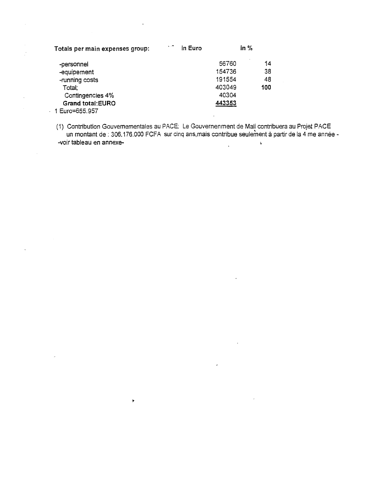| Totals per main expenses group: | $\sim$ $\sim$ | in Euro | in $%$ |
|---------------------------------|---------------|---------|--------|
| -personnel                      |               | 56760   | 14     |
| -equipement                     |               | 154736  | 38     |
| -running costs                  |               | 191554  | 48     |
| Total;                          |               | 403049  | 100    |
| Contingencies 4%                |               | 40304   |        |
| <b>Grand total:EURO</b>         |               | 443353  |        |
| 1 Euro=655.957                  |               |         |        |

 $\overline{\phantom{a}}$ 

 $\overline{\phantom{a}}$ 

(1) Contribution Gouvemementales au PACE: Le Gouvernenment de Mali contribuera au Projet PACE un montant de : 306.176.000 FCFA sur cinq ans, mais contribue seulement à partir de la 4 me année --voir tableau en annexe-  $\bar{\mathbf{r}}$  $\ddot{\phantom{a}}$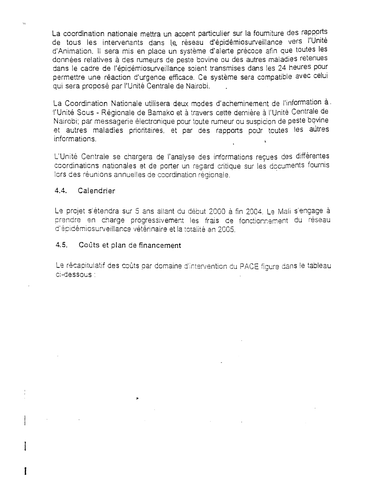La coordination nationale mettra un accent particulier sur la foumiture des rappprts de tous les intervenants dans le réseau d'épidémiosurveillance vers l'Unité d'Animation. II sera mis en place un systeme d'alerte precoce afin que toutes les données relatives à des rumeurs de peste bovine ou des autres maladies retenues dans le cadre de l'épidémiosurveillance soient transmises dans les 24 heures pour permettre une réaction d'urgence efficace. Ce système sera compatible avec celui qui sera proposé par l'Unité Centrale de Nairobi.

La Coordination Nationale utilisera deux modes d'acheminement de l'information à. l'Unité Sous - Régionale de Bamako et à travers cette dernière à l'Unité Centrale de Nairobi; par messagerie électronique pour toute rumeur ou suspicion de peste bovine et autres maladies prioritaires, et par des rapports poor toutes les autres informations.

L'Unité Centrale se chargera de l'analyse des informations recues des différentes coordinations nationales et de porter un regard critique sur les documents fournis tors des réunions annuelles de coordination régionale.

## 4.4. Calendrier

ł

Le projet s'étendra sur 5 ans ailant du début 2000 à fin 2004. Le Mali s'engage à prendre en charge progressivement les frais de fonctionnement du réseau d'épidémiosurveillance vétérinaire et la totalité en 2005.

## 4.5. Coûts et plan de financement

Le récapitulatif des coûts par domaine d'intervention du PACE figure dans le tableau ci-dessous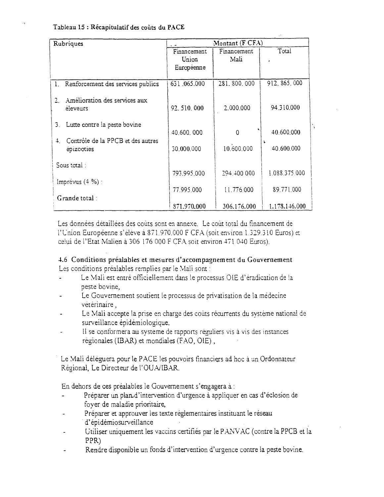#### Tableau 15 : Récapitulatif des couts du PACE

|            | Rubriques                            | Montant (F CFA) |             |               |
|------------|--------------------------------------|-----------------|-------------|---------------|
|            |                                      | Financement     | Financement | Total         |
|            |                                      | Union           | Mali        |               |
|            |                                      | Européenne      |             |               |
|            |                                      |                 |             |               |
|            | 1. Renforcement des services publics | 631.065.000     | 281.800.000 | 912.865.000   |
|            |                                      |                 |             |               |
|            | Amélioration des services aux        |                 |             |               |
|            | eleveurs                             | 92.510.000      | 2.000.000   | 94.310.000    |
|            |                                      |                 |             |               |
| $3_{-}$    | Lutte contre la peste bovine         |                 |             |               |
|            |                                      | 40,600,000      | 0           | 40.600.000    |
| $\ddot{ }$ | Contrôle de la PPCB et des autres    |                 |             |               |
|            | epizooties                           | 30.000.000      | 10.600.000  | 40,600.000    |
|            |                                      |                 |             |               |
|            | Sous total:                          |                 |             |               |
|            |                                      | 793.995.000     | 294,400 000 | 1.088.375.000 |
|            | Imprevus $(4\%)$ :                   |                 |             |               |
|            |                                      | 77.995.000      | 11.776.000  | 89.771.000    |
|            | Grande total :                       |                 |             |               |
|            |                                      | 871.970.000     | 306.176.000 | 1.178.146.000 |

Les données détaillées des couts sont en annexe. Le cout total du financement de l'Union Européenne s'élève à 871.970.000 F CFA (soit environ 1.329.310 Euros) et celui de l'Etat Mallen a 306 176 000 F CFA soit environ 471 040 Euros).

## 4.6 Conditions prealables et mesures d'accompagnement du Gouvernement Les conditions préalables remplies par le Mali sont :

- Le Mali est entré officiellement dans le processus OIE d'éradication de la peste bovine,
- Le Gouvernement soutient le processus de privatisation de la médecine veterinaire.
- Le Mali accepte la prise en charge des couts récurrents du système national de surveillance épidémiologique.
- Il se conformera au systeme de rapports réguliers vis à vis des instances regionales (IBAR) et mondiales (FAO, OIE),

Le Mali deleguera pour le PACE les pouvoirs financiers ad hoc a un Ordonnateur Régional, Le Directeur de l'OUA/IBAR.

En dehors de ces prealables le Gouvernement s'engagera a :

- Préparer un plan.,d'intervention d'urgence à appliquer en cas d'éclosion de foyer de maladie prioritaire,
- Préparer et approuver les texte réglementaires instituant le réseau d'epiderniosurveillance
- Utiliser uniquement les vaccins certifiés par le PANVAC (contre la PPCB et la PPR)
- Rendre disponible un fonds d'intervention d'urgence contre la peste bovine.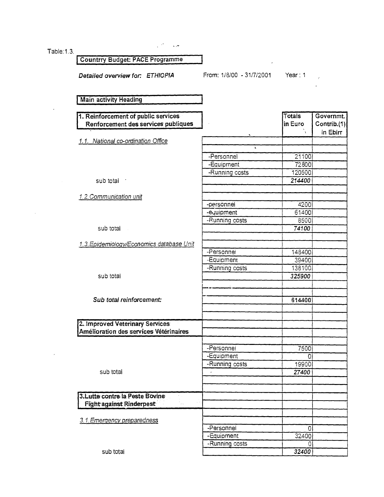| Table: 1.3. |  |
|-------------|--|
|             |  |

**Countrry Budget: PACE Programme** 

 $\mathcal{L}^{(2)}$  and  $\mathcal{L}^{(2)}$ 

Detailed overview for: ETHIOPIA

From: 1/8/00 - 31/7/2001

Ŧ

Year: 1

**Totals** 

**in Euro** 

21100 72800 120500 **Governmt. Contrib.(1) in Ebirr** 

Main activity Heading

**1. Reinforcement of public services Renforcement des services publiques** 

1.1. National co-ordination Office

1.2. Communication unit

sub total • **214400**  -personnel

-Personnel -Equipment

-Running costs

|                                           | -personnel     | 4200           |
|-------------------------------------------|----------------|----------------|
|                                           | -equipment     | 61400          |
|                                           | -Running costs | 8500           |
| sub total                                 |                | 74100          |
|                                           |                |                |
| 1.3. Epidemiology/Economics database Unit |                |                |
|                                           | -Personnei     | 148400         |
|                                           | -Equipment     | 39400          |
|                                           | -Running costs | 138100         |
| sub total                                 |                | 325900         |
|                                           |                |                |
|                                           |                |                |
| Sub total reinforcement:                  |                | 614400         |
|                                           |                |                |
|                                           |                |                |
| 2. Improved Veterinary Services           |                |                |
| Amélioration des services Vétérinaires    |                |                |
|                                           |                |                |
|                                           | -Personnel     | 7500           |
|                                           | -Equipment     | $\Omega$       |
|                                           | -Running costs | 19900          |
| sub total                                 |                | 27400          |
|                                           |                |                |
|                                           |                |                |
| 3. Lutte contre la Peste Bovine           |                |                |
| <b>Fight against Rinderpest</b>           |                |                |
|                                           |                |                |
| 3.1. Emergency preparedness               |                |                |
|                                           | -Personnel     | $\overline{0}$ |
|                                           | -Equipment     | 32400          |
|                                           | -Running costs | $\Omega$       |
| sub total                                 |                | 32400          |
|                                           |                |                |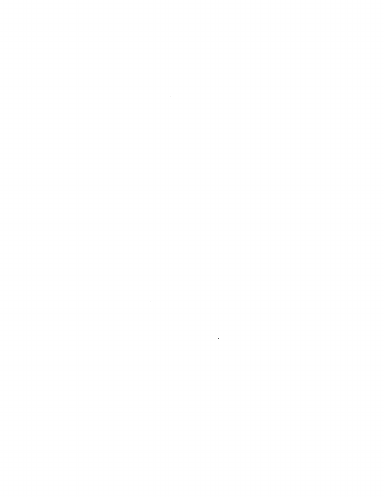$\label{eq:2.1} \frac{1}{\sqrt{2}}\left(\frac{1}{\sqrt{2}}\right)^{2} \left(\frac{1}{\sqrt{2}}\right)^{2} \left(\frac{1}{\sqrt{2}}\right)^{2} \left(\frac{1}{\sqrt{2}}\right)^{2} \left(\frac{1}{\sqrt{2}}\right)^{2} \left(\frac{1}{\sqrt{2}}\right)^{2} \left(\frac{1}{\sqrt{2}}\right)^{2} \left(\frac{1}{\sqrt{2}}\right)^{2} \left(\frac{1}{\sqrt{2}}\right)^{2} \left(\frac{1}{\sqrt{2}}\right)^{2} \left(\frac{1}{\sqrt{2}}\right)^{2} \left(\$ 

 $\mathcal{L}^{\text{max}}_{\text{max}}$  and  $\mathcal{L}^{\text{max}}_{\text{max}}$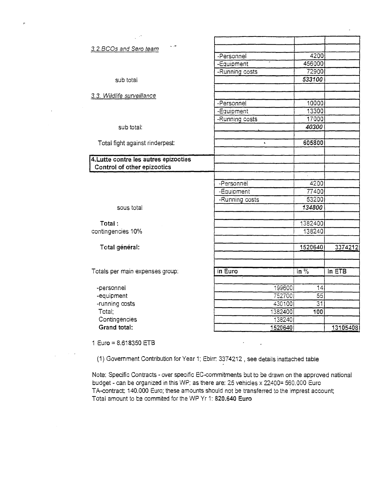| 3.2.BCOs and Sero team                |                |                               |          |
|---------------------------------------|----------------|-------------------------------|----------|
|                                       | -Personnel     | 4200                          |          |
|                                       | -Equipment     | 456000                        |          |
|                                       | -Running costs | 72900                         |          |
| sub total                             |                | 533100                        |          |
|                                       |                |                               |          |
| 3.3. Wildlife surveillance            |                |                               |          |
|                                       | -Personnel     | 10000                         |          |
|                                       | -Equipment     | 13300                         |          |
|                                       | -Running costs | 17000                         |          |
| sub total:                            |                | 40300                         |          |
|                                       |                |                               |          |
| Total fight against rinderpest:       | $\mathbf{k}$   | 605800                        |          |
|                                       |                |                               |          |
| 4. Lutte contre les autres epizooties |                |                               |          |
| Control of other epizootics           |                |                               |          |
|                                       |                |                               |          |
|                                       | -Personnel     | 4200                          |          |
|                                       | -Equipment     | 77400                         |          |
|                                       | -Running costs | 53200                         |          |
| sous total                            |                | 134800                        |          |
|                                       |                |                               |          |
| Total:                                |                | 1382400                       |          |
| contingencies 10%                     |                | 138240                        |          |
|                                       |                |                               |          |
| Total général:                        |                | 1520640                       | 3374212  |
|                                       |                |                               |          |
|                                       |                |                               |          |
| Totals per main expenses group:       | in Euro        | $\overline{\mathsf{in} \ \%}$ | in ETB   |
|                                       |                |                               |          |
| -personnel                            | 199600         | 14                            |          |
| -equipment                            | 752700         | $\overline{55}$               |          |
| -running costs                        | 430100         | 31                            |          |
| Total;                                | 1382400        | 100                           |          |
| Contingencies                         | 138240         |                               |          |
| Grand total:                          | 1520640        |                               | 13105408 |

1 Euro = 8.618350 ETB

p

(1) Government Contribution for Year 1; Ebirr. 3374212 , see details inattached table

Note: Specific Contracts - over specific EC-commitments but to be drawn on the approved national budget - can be organized in this WP; as there are: 25 vehicles x 22400= 560.000 Euro TA-contract: 140.000 Euro; these amounts should not be transferred to the imprest account; Total amount to be commited for the WP Yr 1: **820.640 Euro** 

 $\mathcal{L}$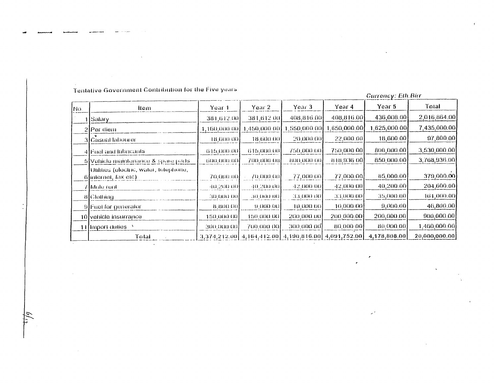| Currency: Eth.Birr                                            |              |              |                                                                                |                                                                                   |                                                                                                                                       |                         |
|---------------------------------------------------------------|--------------|--------------|--------------------------------------------------------------------------------|-----------------------------------------------------------------------------------|---------------------------------------------------------------------------------------------------------------------------------------|-------------------------|
| ftem.                                                         | Year 1       | Year 2       | Year 3                                                                         | Year 4                                                                            | Year 5                                                                                                                                | Total                   |
| [Salary                                                       | 381,612.00   | 381,612.00   |                                                                                | 408,816.00                                                                        | 436,008.00                                                                                                                            | 2,016,864.00            |
| $2$ Per diem                                                  | 1,160,000.00 | 1,450,000.00 | 1,550,000.00                                                                   | [650,000.00]                                                                      | 1,625,000.00                                                                                                                          | 7,435,000.00            |
| 3 Casual labourer                                             |              |              |                                                                                | 22,000.00                                                                         | 18,600.00                                                                                                                             | 97,800.00               |
| 4 Fuel and lubricants                                         | 645,000.00   | 615,000.001  | 750,000.00                                                                     | 750,000.00                                                                        | 800,000.00                                                                                                                            | 3,530,000,00            |
| 5 Vehicle maintenance & space parts.                          |              |              | 800,000.00                                                                     |                                                                                   | 850,000.00                                                                                                                            | 3,768,936.00            |
| Unimes (electric, water, telephone,<br>6 finternet, fax etc). |              |              |                                                                                |                                                                                   | 85,000.00                                                                                                                             | 379,000.00              |
| 7 Mule rent                                                   |              |              | [42,000.00]                                                                    | 42,000.00]                                                                        | 40,200.00                                                                                                                             | 204,600.00              |
| 8 Clothing                                                    |              |              |                                                                                | 33,000.001                                                                        | 35,000.00                                                                                                                             | 161,000.00              |
| 9 Fuel for generator                                          |              |              |                                                                                | 10,000.00                                                                         | 9,000,00                                                                                                                              | 46,800.00               |
| 10 vehicle insurrance                                         | 150,000.00   | 150,000.00   |                                                                                | 200,000.00                                                                        | 200,000.00                                                                                                                            | 900,000.00              |
| 11 Import duties                                              | 300,000.00)  | 700,000.00   | 300,000.00]                                                                    | -80,000-00                                                                        | -80,000.00]                                                                                                                           | 1,460,000.00            |
| Total                                                         |              |              |                                                                                |                                                                                   | 4,178,808.00                                                                                                                          | 20,000,000.00           |
|                                                               |              |              | 18,600.00<br>600,000.00 <br>70,000.00}<br>40,200,00<br>30,000.00<br>-8,800,001 | 48,600.00<br>700,000.00]<br>70,000.001<br>-10,200,001<br>30,000 DD]<br>-9,000,001 | 408,816.00<br>20,000.00<br>77,000.00<br>33,000,001<br>40,000.001<br>200,000.00<br>3,374,242.00 4,164,412.00 4,190,816.00 4,091,752.00 | 818,936.00<br>77,000.00 |

المحر

Tentative Government Contribution for the Five years

 $\Delta$ 

 $\sim$ 

 $\widetilde{\not\in}$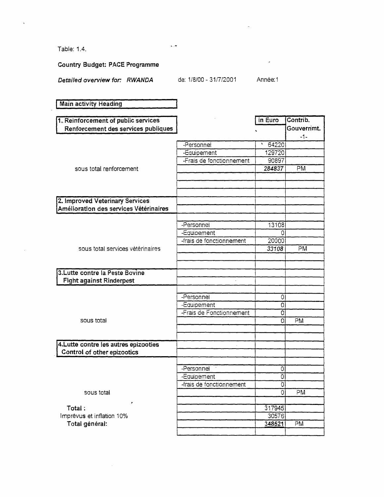Table: 1.4.

 $\bar{\mathbf{x}}$ 

**Country Budget: PACE Programme** 

*Detailed overview for: RWANDA* de: 1/8/00 - 31/7/2001 Année: 1

 $\sim$ 

 $\sim$   $\sigma$ 

y.

| in Euro<br>Contrib.<br>1. Reinforcement of public services<br>Renforcement des services publiques<br>Gouvernmt.<br>$-1-$<br>64220<br>-Personnel<br>N.<br>129720<br>-Equipement<br>-Frais de fonctionnement<br>90897<br>sous total renforcement<br>284837<br>PM<br>2. Improved Veterinary Services<br>-Personnel<br>13108<br>-Equipement<br>$\Omega$<br>-frais de fonctionnement<br>200001<br>PM<br>33108<br>sous total services vétérinaires<br>3.Lutte contre la Peste Bovine<br><b>Fight against Rinderpest</b><br>-Personnel<br>0<br>-Equipement<br>$\overline{0}$<br>-Frais de Fonctionnement<br>$\overline{0}$<br><b>PM</b><br>0<br>sous total<br>4.Lutte contre les autres epizooties<br>Control of other epizootics.<br>-Personnel<br>0<br>$\overline{0}$<br>-Equipement<br>-frais de fonctionnement<br>$\mathsf{O}$<br>PM<br>0<br>sous total<br>۶<br>Total:<br>317945<br>Imprévus et inflation 10%<br>30576<br>Total général:<br>348521<br>PM | <b>Main activity Heading</b>           |  |  |
|-------------------------------------------------------------------------------------------------------------------------------------------------------------------------------------------------------------------------------------------------------------------------------------------------------------------------------------------------------------------------------------------------------------------------------------------------------------------------------------------------------------------------------------------------------------------------------------------------------------------------------------------------------------------------------------------------------------------------------------------------------------------------------------------------------------------------------------------------------------------------------------------------------------------------------------------------------|----------------------------------------|--|--|
|                                                                                                                                                                                                                                                                                                                                                                                                                                                                                                                                                                                                                                                                                                                                                                                                                                                                                                                                                       |                                        |  |  |
|                                                                                                                                                                                                                                                                                                                                                                                                                                                                                                                                                                                                                                                                                                                                                                                                                                                                                                                                                       |                                        |  |  |
|                                                                                                                                                                                                                                                                                                                                                                                                                                                                                                                                                                                                                                                                                                                                                                                                                                                                                                                                                       |                                        |  |  |
|                                                                                                                                                                                                                                                                                                                                                                                                                                                                                                                                                                                                                                                                                                                                                                                                                                                                                                                                                       |                                        |  |  |
|                                                                                                                                                                                                                                                                                                                                                                                                                                                                                                                                                                                                                                                                                                                                                                                                                                                                                                                                                       |                                        |  |  |
|                                                                                                                                                                                                                                                                                                                                                                                                                                                                                                                                                                                                                                                                                                                                                                                                                                                                                                                                                       |                                        |  |  |
|                                                                                                                                                                                                                                                                                                                                                                                                                                                                                                                                                                                                                                                                                                                                                                                                                                                                                                                                                       |                                        |  |  |
|                                                                                                                                                                                                                                                                                                                                                                                                                                                                                                                                                                                                                                                                                                                                                                                                                                                                                                                                                       |                                        |  |  |
|                                                                                                                                                                                                                                                                                                                                                                                                                                                                                                                                                                                                                                                                                                                                                                                                                                                                                                                                                       | Amélioration des services Vétérinaires |  |  |
|                                                                                                                                                                                                                                                                                                                                                                                                                                                                                                                                                                                                                                                                                                                                                                                                                                                                                                                                                       |                                        |  |  |
|                                                                                                                                                                                                                                                                                                                                                                                                                                                                                                                                                                                                                                                                                                                                                                                                                                                                                                                                                       |                                        |  |  |
|                                                                                                                                                                                                                                                                                                                                                                                                                                                                                                                                                                                                                                                                                                                                                                                                                                                                                                                                                       |                                        |  |  |
|                                                                                                                                                                                                                                                                                                                                                                                                                                                                                                                                                                                                                                                                                                                                                                                                                                                                                                                                                       |                                        |  |  |
|                                                                                                                                                                                                                                                                                                                                                                                                                                                                                                                                                                                                                                                                                                                                                                                                                                                                                                                                                       |                                        |  |  |
|                                                                                                                                                                                                                                                                                                                                                                                                                                                                                                                                                                                                                                                                                                                                                                                                                                                                                                                                                       |                                        |  |  |
|                                                                                                                                                                                                                                                                                                                                                                                                                                                                                                                                                                                                                                                                                                                                                                                                                                                                                                                                                       |                                        |  |  |
|                                                                                                                                                                                                                                                                                                                                                                                                                                                                                                                                                                                                                                                                                                                                                                                                                                                                                                                                                       |                                        |  |  |
|                                                                                                                                                                                                                                                                                                                                                                                                                                                                                                                                                                                                                                                                                                                                                                                                                                                                                                                                                       |                                        |  |  |
|                                                                                                                                                                                                                                                                                                                                                                                                                                                                                                                                                                                                                                                                                                                                                                                                                                                                                                                                                       |                                        |  |  |
|                                                                                                                                                                                                                                                                                                                                                                                                                                                                                                                                                                                                                                                                                                                                                                                                                                                                                                                                                       |                                        |  |  |
|                                                                                                                                                                                                                                                                                                                                                                                                                                                                                                                                                                                                                                                                                                                                                                                                                                                                                                                                                       |                                        |  |  |
|                                                                                                                                                                                                                                                                                                                                                                                                                                                                                                                                                                                                                                                                                                                                                                                                                                                                                                                                                       |                                        |  |  |
|                                                                                                                                                                                                                                                                                                                                                                                                                                                                                                                                                                                                                                                                                                                                                                                                                                                                                                                                                       |                                        |  |  |
|                                                                                                                                                                                                                                                                                                                                                                                                                                                                                                                                                                                                                                                                                                                                                                                                                                                                                                                                                       |                                        |  |  |
|                                                                                                                                                                                                                                                                                                                                                                                                                                                                                                                                                                                                                                                                                                                                                                                                                                                                                                                                                       |                                        |  |  |
|                                                                                                                                                                                                                                                                                                                                                                                                                                                                                                                                                                                                                                                                                                                                                                                                                                                                                                                                                       |                                        |  |  |
|                                                                                                                                                                                                                                                                                                                                                                                                                                                                                                                                                                                                                                                                                                                                                                                                                                                                                                                                                       |                                        |  |  |
|                                                                                                                                                                                                                                                                                                                                                                                                                                                                                                                                                                                                                                                                                                                                                                                                                                                                                                                                                       |                                        |  |  |
|                                                                                                                                                                                                                                                                                                                                                                                                                                                                                                                                                                                                                                                                                                                                                                                                                                                                                                                                                       |                                        |  |  |
|                                                                                                                                                                                                                                                                                                                                                                                                                                                                                                                                                                                                                                                                                                                                                                                                                                                                                                                                                       |                                        |  |  |
|                                                                                                                                                                                                                                                                                                                                                                                                                                                                                                                                                                                                                                                                                                                                                                                                                                                                                                                                                       |                                        |  |  |
|                                                                                                                                                                                                                                                                                                                                                                                                                                                                                                                                                                                                                                                                                                                                                                                                                                                                                                                                                       |                                        |  |  |
|                                                                                                                                                                                                                                                                                                                                                                                                                                                                                                                                                                                                                                                                                                                                                                                                                                                                                                                                                       |                                        |  |  |
|                                                                                                                                                                                                                                                                                                                                                                                                                                                                                                                                                                                                                                                                                                                                                                                                                                                                                                                                                       |                                        |  |  |
|                                                                                                                                                                                                                                                                                                                                                                                                                                                                                                                                                                                                                                                                                                                                                                                                                                                                                                                                                       |                                        |  |  |
|                                                                                                                                                                                                                                                                                                                                                                                                                                                                                                                                                                                                                                                                                                                                                                                                                                                                                                                                                       |                                        |  |  |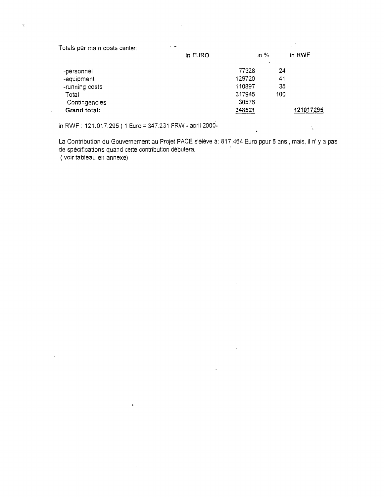| Totals per main costs center: | $-$     |        |     |           |
|-------------------------------|---------|--------|-----|-----------|
|                               | in EURO | in $%$ |     | in RWF    |
| -personnel                    |         | 77328  | 24  |           |
| -equipment                    |         | 129720 | 41  |           |
| -running costs                |         | 110897 | -35 |           |
| Total                         |         | 317945 | 100 |           |
| Contingencies                 |         | 30576  |     |           |
| Grand total:                  |         | 348521 |     | 121017295 |

in RWF : 121.017.295 ( 1 Euro = 347.231 FRW - april 2000-

 $\ddot{\phantom{1}}$ 

La Contribution du Gouvernement au Projet PACE s'élève à: 817.464 Euro pour 5 ans, mais, il n' y a pas de specifications quand cette contribution debutera. ( voir tableau en annexe)

 $\mathbf{v}_i$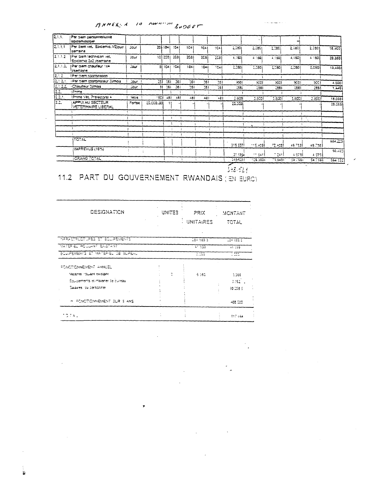$ABHEX_2A$  10 nwww. BUDGET

 $\ddot{\phantom{a}}$ 

| 2.7      | Per diem personnet/unité<br>epidemiatogie             |            |            |        |      |                   |      |                 |          |          |          |              |         |         |
|----------|-------------------------------------------------------|------------|------------|--------|------|-------------------|------|-----------------|----------|----------|----------|--------------|---------|---------|
| 2.3.1.1  | Per diem vet. Edicemia, 1/2;curr<br>Isemaine.         | Jour       |            | 201:04 | 104  | 104               | 1C4  | C4              | 2,080)   | 2.080)   | 2.080    | 2.18C        | 2.0801  | 10,400  |
| 2.1.1.2  | IPer diem technician vet,<br>i Ecidamio 2x2 i/samaine | 20ur       |            | 151208 | 2Cal | 2 <sub>c</sub> 31 | 2ca  | 2 <sub>c3</sub> | 4:501    | 4:50     | $+ : 50$ | 4,160        | 4:50.   | 20.300  |
| 2.1.1.1. | iPer diem chauifeur 1x4<br>ivsemaine                  | <b>Cur</b> |            | 31:04  | 1041 | : 041             | 1041 | C4              | 2,280    | 1,080    | 2,080    | 2,0801       | 2.080   | 10.400  |
| 12:2     | IP er diem coordination                               |            |            |        |      |                   |      |                 |          |          |          |              |         |         |
| 2:2:     | (Per diem coordinateur 31/mois                        | Jour       | 251        | 361    | 351  | <b>361</b>        | 261  | 351             | FCO1     | ecc)     | 900 I    | 9001         | 2001    | 4.500   |
| 2:22     | Chaudeur Curricus                                     | <b>Cur</b> | 31         | 36 i   | 261  | 351               | 251  | 151             | 2991     | 2381     | 2881     | 2881         | 2851    | 1.440   |
| 2.2.     | iPome                                                 |            |            |        |      |                   |      |                 |          |          |          |              |         |         |
| 2.2.3.   | IPhme Vet, Prefectoral 4                              | Mcts       | 1501       | 481    | 181  | $-281$            | 481  | 181             | 3,5001   | 1,6001   | 3,8001   | 3,6001       | 3.30CT  | 18.0001 |
| 2.2.     | APPUI AU SECTEUR<br>IVETERINAIRE LISEPAL              | Forfalt    | 20.000.001 |        |      |                   |      |                 | 20,000   |          |          |              |         | 20.0001 |
|          |                                                       |            |            |        |      |                   |      |                 |          |          |          |              |         |         |
|          |                                                       |            |            |        |      |                   |      |                 |          |          |          |              | $\sim$  |         |
|          |                                                       |            |            |        |      |                   |      |                 |          |          |          | $\mathbf{r}$ |         |         |
|          |                                                       |            |            |        |      |                   |      |                 |          |          |          |              |         |         |
|          |                                                       |            |            |        |      |                   |      |                 |          |          |          |              |         |         |
|          | TOTAL                                                 |            |            |        |      |                   |      |                 | 315,3371 | 115,4091 | 72.4081  | 49.7331      | 49.7381 | 604.223 |
|          | IMPREVUS (10%)                                        |            |            |        |      |                   |      |                 | 21 589   | া তথা    | 7 24 11  | 4 양경         | 4 경영    | 30.727  |
|          | <b>IGRAND TOTAL</b>                                   |            |            |        |      |                   |      |                 | $-36.21$ | 125.3501 | 73.5491  | 54.7561      | 54.7561 | 564.522 |

 $\frac{1}{18.52}$ 

 $\sim$ 

 $\mathcal{L}_{\text{max}}$  and  $\mathcal{L}_{\text{max}}$  . The  $\mathcal{L}_{\text{max}}$ 

 $\alpha$  and an analysis of  $\alpha$ 

# 11.2 PART DU GOUVERNEMENT RWANDAIS (EN EURO)

| DESIGNATION                        | <b>UNITES</b> | PRIX      | MONTANT   |
|------------------------------------|---------------|-----------|-----------|
|                                    |               | UNITAIRES | TOTAL     |
|                                    |               |           |           |
| HARASTRUCTURES ET EQUIPEMENTS      |               | 184,985,5 | 184 ABB 6 |
| <b>MATERIEL POULANT ENSTANT</b>    |               | साइङ      | 21 - 194  |
| TECUIPEMENTS ET MATERIEL DE BUREAU |               | 3.555     | T ES      |
| FONCTIONNEMENT ANNUEL              |               |           |           |
| Materies inducts inhered.          | 2             | 6.182     | 3.588     |
| Poucements et materiel de cureau   |               |           | 1252.     |
| Salaires, su personnel             |               |           | 60,000.5  |
| - FONCTIONNEMENT SUR 5 ANS         |               |           | 188,530   |
| ndir Alli                          |               |           | 317.454   |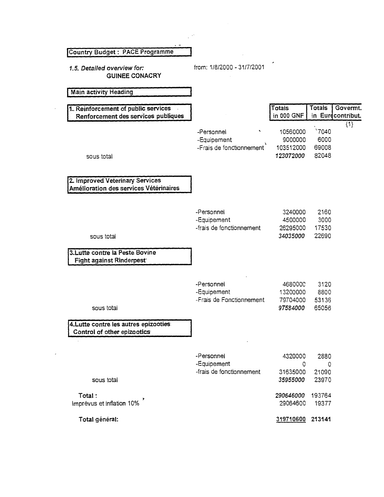| <b>Country Budget: PACE Programme</b>                                      |                                                       |                                  |                                    |
|----------------------------------------------------------------------------|-------------------------------------------------------|----------------------------------|------------------------------------|
| 1.5. Detailed overview for:<br><b>GUINEE CONACRY</b>                       | from: 1/8/2000 - 31/7/2001                            |                                  |                                    |
| <b>Main activity Heading</b>                                               |                                                       |                                  |                                    |
| 1. Reinforcement of public services<br>Renforcement des services publiques |                                                       | Totals<br>in 000 GNF             | <b>Totals</b><br>in Eurocontribut. |
|                                                                            | -Personnel<br>-Equipement<br>-Frais de fonctionnement | 10560000<br>9000000<br>103512000 | 17040<br>6000<br>69008             |
| sous total                                                                 |                                                       | 123072000                        | 82048                              |
| 2. Improved Veterinary Services<br>Amélioration des services Vétérinaires  |                                                       |                                  |                                    |
|                                                                            | -Personnel<br>-Equipement<br>-frais de fonctionnement | 3240000<br>4500000<br>26295000   | 2160<br>3000<br>17530              |
| sous total                                                                 |                                                       | 34035000                         | 22690                              |
| 3. Lutte contre la Peste Bovine<br><b>Fight against Rinderpest</b>         |                                                       |                                  |                                    |
|                                                                            | -Personnel<br>-Equipement                             | 4680000<br>13200000              | 3120<br>8800                       |
| sous total                                                                 | -Frais de Fonctionnement                              | 79704000<br>97584000             | 53136<br>65056                     |
| 4. Lutte contre les autres epizooties<br>Control of other epizootics       |                                                       |                                  |                                    |
|                                                                            | -Personnel<br>-Equipement                             | 4320000<br>0                     | 2880                               |
| sous total                                                                 | -frais de fonctionnement                              | 31635000<br>35955000             | 0<br>21090<br>23970                |
| Total:                                                                     |                                                       | 290646000                        | 193764                             |
| Imprévus et inflation 10%                                                  |                                                       | 29064600                         | 19377                              |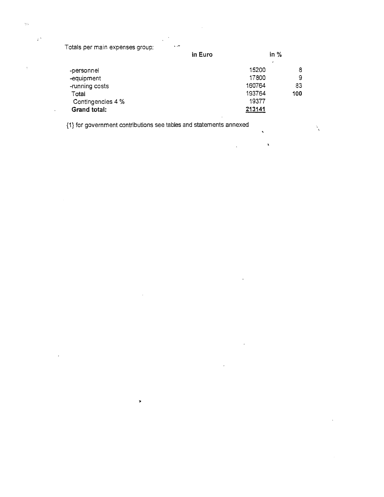Totals per main expenses group:  $\langle \rangle_{\rm eff}$ 

 $\tilde{\gamma}_{\rm QD}$ 

 $\mathbb{R}^2$ 

|                   | in Euro |            | in $\%$ |  |  |
|-------------------|---------|------------|---------|--|--|
| -personnel        |         | ٠<br>15200 | 8       |  |  |
| -equipment        |         | 17800      | 9       |  |  |
| -running costs    |         | 160764     | 83      |  |  |
| Total             |         | 193764     | 100     |  |  |
| Contingencies 4 % |         | 19377      |         |  |  |
| Grand total:      |         | 213141     |         |  |  |

í,

{1} for government contributions see tables and statements annexed

X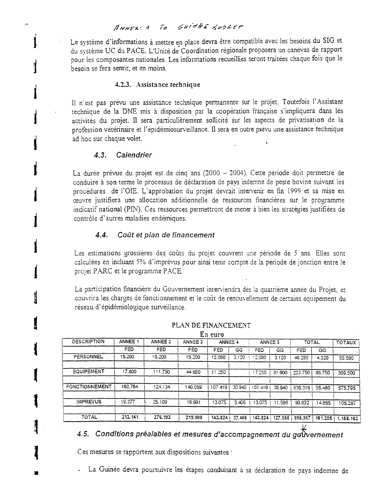## $H_{HHEX}: 4$  To GuinAE RUDGET

Le système d'informations à mettre en place devra être compatible avec les besoins du SIG et du système UC du PACE. L'Unité de Coordination régionale proposera un canevas de rapport pour les composantes nationales. Les informations recueillies seront traitées chaque fois que le besoin se fera sentir, et en moins.

## 4.2.3. Assistance technique

Il n'est pas prévu une assistance technique permanente sur le projet. Toutefois l'Assistant technique de la DNE mis a disposition par la cooperation francaise s'impliquera dans les activités du projet. Il sera particulièrement sollicité sur les aspects de privatisation de la profession vétérinaire et l'épidémiosurveillance. Il sera en outre prévu une assistance technique ad hoc sur chaque volet.

## *4.3. Calendrier*

I

ر.<br>د

I

La durée prévue du projet est de cinq ans (2000 – 2004). Cette période doit permettre de conduire à son terme le processus de déclaration de pays indemne de peste bovine suivant les procedures de l'OIE. L'approbation du projet devrait intervenir en fin 1999 et sa mise en ceuvre justifiera une allocation additionnelle de ressources tinancieres sur le programme indicatif national (PIN). Ces ressources permettront de mener a bien les strategies justifiees de contrôle d'autres maladies endémiques.

## *4.4. Coat et plan de financement*

Les estimations grossières des coûts du projet couvrent une période de 5 ans. Elles sont calculées en incluant 5% d'imprevus pour ainsi tenir compte de la période de jonction entre le projet PARC et le programme PACE.

La participation financière du Gouvernement interviendra dès la quatrième année du Projet, et couvrira les charges de fonctionnement et le cout de renouvellement de certains equipement du reseau d'epidemiologique surveillance.

| <b>DESCRIPTION</b>    | <b>ANNEE 1</b> | ANNEE 2 | ANNEE <sub>3</sub> | ANNEE 4 |        | ANNEE <sub>5</sub> |         | <b>TOTAL</b> |         | TOTAUX    |
|-----------------------|----------------|---------|--------------------|---------|--------|--------------------|---------|--------------|---------|-----------|
|                       | FED            | FED     | <b>FED</b>         | FED     | GG     | FED                | GG      | FED          | GG      |           |
| PERSONNEL             | 15.200         | 15.200  | 15,200             | 12,080  | 3.120  | 12.080             | 3.120   | 46.260       | 4.320   | 50,580    |
| <b>EQUIPEMENT</b>     | 17,800         | 111.7SO | 44.650             | 11.250  |        | 17.250             | 81,900  | 223.750      | 85.750  | 309.500   |
| <b>FONCTIONNEMENT</b> | 160.764        | 124.134 | 140.059            | 107.419 | 30.940 | 101.419            | 30.940  | 636.315      | 56.480  | 575.795   |
| <b>IMPREVUS</b>       | 19.377         | 25.109  | 19.991             | 13.075  | 3.406  | 13,075             | 11.596  | 90.632       | 14.655  | 105,287   |
| TOTAL                 | 213.141        | 276.193 | 219,900            | 143.824 | 37,466 | 143.8241           | 127.556 | 996.957      | 161.205 | 1.158.152 |

PLAN DE FINANCEMENT En euro

*4.5. Conditions prealables et mesures d'accompagnement du gotvemement* 

Ces mesures se rapportent aux dispositions suivantes :

La Guinée devra poursuivre les étapes conduisant à sa déclaration de pays indemne de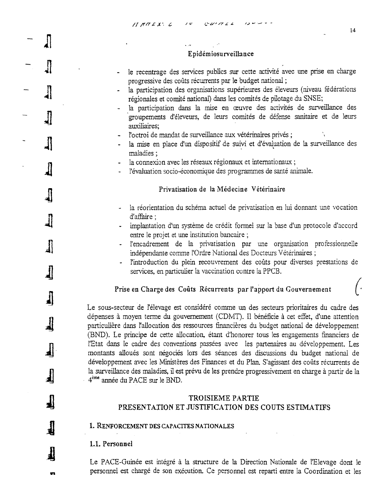#### Epidemiosurveillance

- le recentrage des services publics sur cette activité avec une prise en charge progressive des coûts récurrents par le budget national ;
- la participation des organisations supérieures des éleveurs (niveau fédérations régionales et comité national) dans les comités de pilotage du SNSE;
- la participation dans la mise en œuvre des activités de surveillance des groupements d'eleveurs, de leurs comites de defense sanitaire et de leurs auxiliaires;
- l'octroi de mandat de surveillance aux vétérinaires privés ;
- la mise en place d'un dispositif de suivi et d'évaluation de la surveillance des maladies ;
- la connexion avec les réseaux régionaux et internationaux ;
- l'évaluation socio-économique des programmes de santé animale.

#### Privatisation de la Médecine Vétérinaire

- la réorientation du schéma actuel de privatisation en lui donnant une vocation d'affaire ;
- implantation d'un systeme de credit formel sur la base d'un protocole d'accord entre le projet et une institution bancaire ;
- l'encadrement de la privatisation par une organisation professionnelle indépendante comme l'Ordre National des Docteurs Vétérinaires ;
- l'introduction du plein recouvrement des coûts pour diverses prestations de services, en particulier la vaccination contre Ia PPCB.

#### Prise en Charge des Coûts Récurrents par l'apport du Gouvernement

Le sous-secteur de l'élevage est considéré comme un des secteurs prioritaires du cadre des depenses a moyen terme du gouvemement (CDIvIT). 11 beneficie a cet effet, d'une attention particulière dans l'allocation des ressources financières du budget national de développement (BND). Le principe de cette allocation, etant d'honorer tous les engagements financiers de l'Etat dans le cadre des conventions passees avec les partenaires au developpement. Les montants alloues sont negocies lors des seances des discussions du budget national de développement avec les Ministères des Finances et du Plan. S'agissant des coûts récurrents de la surveillance des maladies, il est prévu de les prendre progressivement en charge à partir de la 4<sup>ème</sup> année du PACE sur le BND.

## TROISIEME PARTIE PRESENTATION ET JUSTIFICATION DES COUTS ESTIMATIFS

#### 1. RENFORCEMENT DES CAPACITES NATIONALES

1.1. Personnel

╜

الہ

1

 $\mathbf{J}$ 

 $\mathbf{H}$ 

Le PACE-Guinée est intégré à la structure de la Direction Nationale de l'Elevage dont le personnel est chargé de son execution. Ce personnel est reparti entre la Coordination et les

14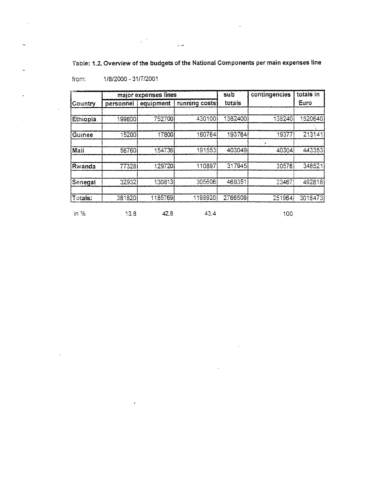Table: 1.2. Overview of the budgets of the National Components per main expenses line

 $\ddot{\phantom{0}}$ 

| 1/8/2000 - 31/7/2001 | from: |  |  |
|----------------------|-------|--|--|
|----------------------|-------|--|--|

|                |           | major expenses lines |               | sub     | contingencies | totals in |  |
|----------------|-----------|----------------------|---------------|---------|---------------|-----------|--|
| <b>Country</b> | personnel | equipment            | running costs | totals  |               | Euro      |  |
|                |           |                      |               |         |               |           |  |
| Ethiopia       | 199600    | 752700               | 430100        | 1382400 | 138240        | 1520640   |  |
|                |           |                      |               |         |               |           |  |
| Guinee         | 15200     | 17800                | 160764        | 193764  | 19377         | 213141    |  |
|                |           |                      |               |         | $\mathbf{r}$  |           |  |
| Mali           | 56760     | 154736               | 191553        | 403049  | 40304         | 443353    |  |
|                |           |                      |               |         |               |           |  |
| Rwanda         | 77328     | 129720               | 110897        | 317945  | 30576         | 348521    |  |
|                |           |                      |               |         |               |           |  |
| Senegal        | 32932     | 130813               | 305606        | 469351  | 23467         | 492818    |  |
| Totals:        | 381820    | 1185769              | 1198920       | 2766509 | 251964        | 3018473   |  |
|                |           |                      |               |         |               |           |  |

 $\overline{\phantom{a}}$ 

 $\bar{z}$ 

 $\overline{\phantom{0}}$ 

 $\ddot{\phantom{1}}$ 

 $\ddot{\phantom{a}}$ 

in % 13.8 42.8 43.4 100

 $\ddot{\phantom{0}}$